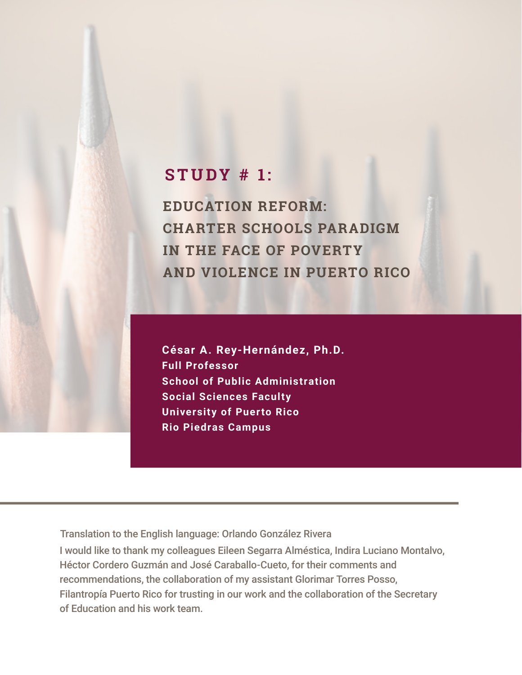# **STUDY # 1:**

**EDUCATION REFORM: CHARTER SCHOOLS PARADIGM IN THE FACE OF POVERTY AND VIOLENCE IN PUERTO RICO**

**César A. Rey-Hernández, Ph.D. Full Professor School of Public Administration Social Sciences Faculty University of Puerto Rico Rio Piedras Campus**

Translation to the English language: Orlando González Rivera

I would like to thank my colleagues Eileen Segarra Alméstica, Indira Luciano Montalvo, Héctor Cordero Guzmán and José Caraballo-Cueto, for their comments and recommendations, the collaboration of my assistant Glorimar Torres Posso, Filantropía Puerto Rico for trusting in our work and the collaboration of the Secretary of Education and his work team.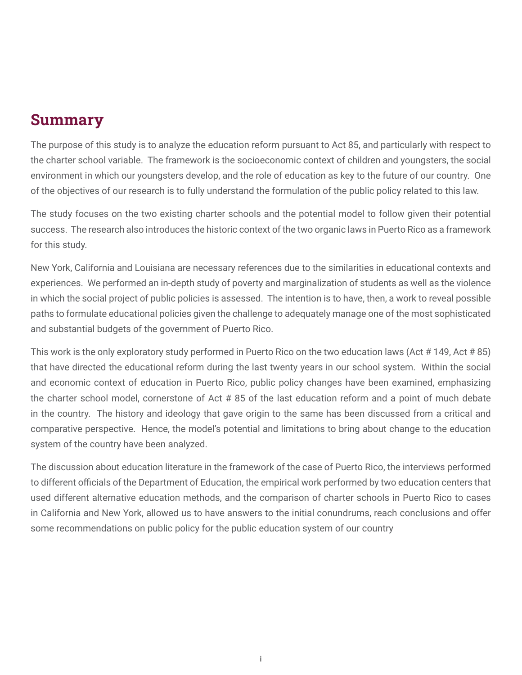# <span id="page-1-0"></span>Summary

The purpose of this study is to analyze the education reform pursuant to Act 85, and particularly with respect to the charter school variable. The framework is the socioeconomic context of children and youngsters, the social environment in which our youngsters develop, and the role of education as key to the future of our country. One of the objectives of our research is to fully understand the formulation of the public policy related to this law.

The study focuses on the two existing charter schools and the potential model to follow given their potential success. The research also introduces the historic context of the two organic laws in Puerto Rico as a framework for this study.

New York, California and Louisiana are necessary references due to the similarities in educational contexts and experiences. We performed an in-depth study of poverty and marginalization of students as well as the violence in which the social project of public policies is assessed. The intention is to have, then, a work to reveal possible paths to formulate educational policies given the challenge to adequately manage one of the most sophisticated and substantial budgets of the government of Puerto Rico.

This work is the only exploratory study performed in Puerto Rico on the two education laws (Act # 149, Act # 85) that have directed the educational reform during the last twenty years in our school system. Within the social and economic context of education in Puerto Rico, public policy changes have been examined, emphasizing the charter school model, cornerstone of Act # 85 of the last education reform and a point of much debate in the country. The history and ideology that gave origin to the same has been discussed from a critical and comparative perspective. Hence, the model's potential and limitations to bring about change to the education system of the country have been analyzed.

The discussion about education literature in the framework of the case of Puerto Rico, the interviews performed to different officials of the Department of Education, the empirical work performed by two education centers that used different alternative education methods, and the comparison of charter schools in Puerto Rico to cases in California and New York, allowed us to have answers to the initial conundrums, reach conclusions and offer some recommendations on public policy for the public education system of our country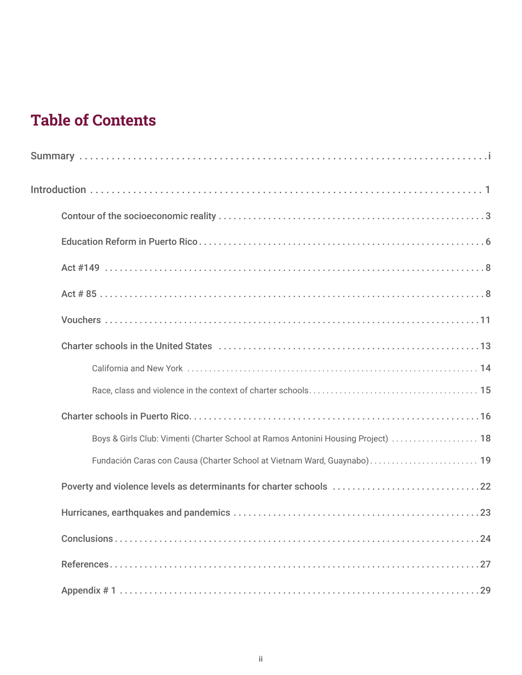# **Table of Contents**

| Boys & Girls Club: Vimenti (Charter School at Ramos Antonini Housing Project)  18 |
|-----------------------------------------------------------------------------------|
| Fundación Caras con Causa (Charter School at Vietnam Ward, Guaynabo) 19           |
|                                                                                   |
|                                                                                   |
|                                                                                   |
|                                                                                   |
|                                                                                   |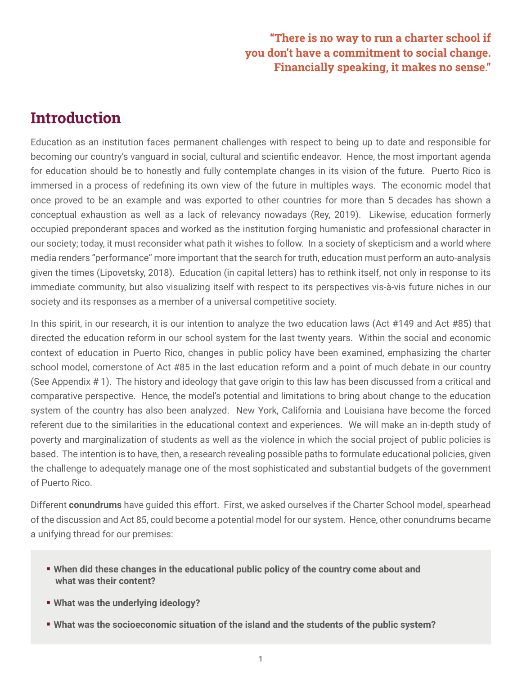# "There is no way to run a charter school if you don't have a commitment to social change. Financially speaking, it makes no sense."

# <span id="page-3-0"></span>**Introduction**

Education as an institution faces permanent challenges with respect to being up to date and responsible for becoming our country's vanguard in social, cultural and scientific endeavor. Hence, the most important agenda for education should be to honestly and fully contemplate changes in its vision of the future. Puerto Rico is immersed in a process of redefining its own view of the future in multiples ways. The economic model that once proved to be an example and was exported to other countries for more than 5 decades has shown a conceptual exhaustion as well as a lack of relevancy nowadays (Rey, 2019). Likewise, education formerly occupied preponderant spaces and worked as the institution forging humanistic and professional character in our society; today, it must reconsider what path it wishes to follow. In a society of skepticism and a world where media renders "performance" more important that the search for truth, education must perform an auto-analysis given the times (Lipovetsky, 2018). Education (in capital letters) has to rethink itself, not only in response to its immediate community, but also visualizing itself with respect to its perspectives vis-à-vis future niches in our society and its responses as a member of a universal competitive society.

In this spirit, in our research, it is our intention to analyze the two education laws (Act #149 and Act #85) that directed the education reform in our school system for the last twenty years. Within the social and economic context of education in Puerto Rico, changes in public policy have been examined, emphasizing the charter school model, cornerstone of Act #85 in the last education reform and a point of much debate in our country (See Appendix # 1). The history and ideology that gave origin to this law has been discussed from a critical and comparative perspective. Hence, the model's potential and limitations to bring about change to the education system of the country has also been analyzed. New York, California and Louisiana have become the forced referent due to the similarities in the educational context and experiences. We will make an in-depth study of poverty and marginalization of students as well as the violence in which the social project of public policies is based. The intention is to have, then, a research revealing possible paths to formulate educational policies, given the challenge to adequately manage one of the most sophisticated and substantial budgets of the government of Puerto Rico.

Different **conundrums** have guided this effort. First, we asked ourselves if the Charter School model, spearhead of the discussion and Act 85, could become a potential model for our system. Hence, other conundrums became a unifying thread for our premises:

- **When did these changes in the educational public policy of the country come about and what was their content?**
- **What was the underlying ideology?**
- **What was the socioeconomic situation of the island and the students of the public system?**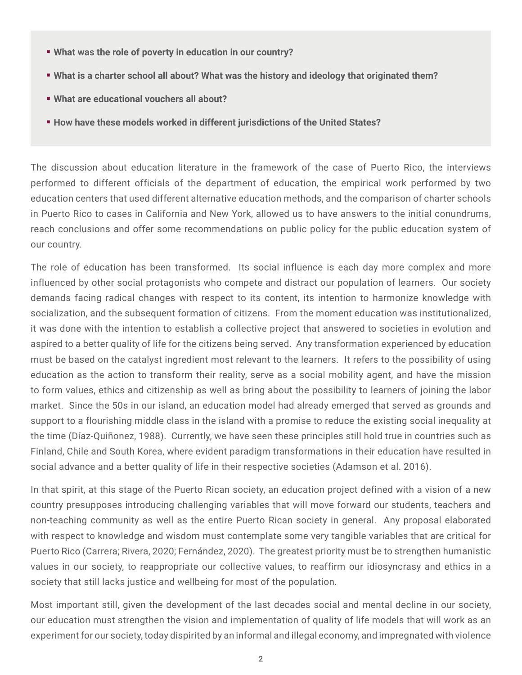- **What was the role of poverty in education in our country?**
- **What is a charter school all about? What was the history and ideology that originated them?**
- **What are educational vouchers all about?**
- **How have these models worked in different jurisdictions of the United States?**

The discussion about education literature in the framework of the case of Puerto Rico, the interviews performed to different officials of the department of education, the empirical work performed by two education centers that used different alternative education methods, and the comparison of charter schools in Puerto Rico to cases in California and New York, allowed us to have answers to the initial conundrums, reach conclusions and offer some recommendations on public policy for the public education system of our country.

The role of education has been transformed. Its social influence is each day more complex and more influenced by other social protagonists who compete and distract our population of learners. Our society demands facing radical changes with respect to its content, its intention to harmonize knowledge with socialization, and the subsequent formation of citizens. From the moment education was institutionalized, it was done with the intention to establish a collective project that answered to societies in evolution and aspired to a better quality of life for the citizens being served. Any transformation experienced by education must be based on the catalyst ingredient most relevant to the learners. It refers to the possibility of using education as the action to transform their reality, serve as a social mobility agent, and have the mission to form values, ethics and citizenship as well as bring about the possibility to learners of joining the labor market. Since the 50s in our island, an education model had already emerged that served as grounds and support to a flourishing middle class in the island with a promise to reduce the existing social inequality at the time (Díaz-Quiñonez, 1988). Currently, we have seen these principles still hold true in countries such as Finland, Chile and South Korea, where evident paradigm transformations in their education have resulted in social advance and a better quality of life in their respective societies (Adamson et al. 2016).

In that spirit, at this stage of the Puerto Rican society, an education project defined with a vision of a new country presupposes introducing challenging variables that will move forward our students, teachers and non-teaching community as well as the entire Puerto Rican society in general. Any proposal elaborated with respect to knowledge and wisdom must contemplate some very tangible variables that are critical for Puerto Rico (Carrera; Rivera, 2020; Fernández, 2020). The greatest priority must be to strengthen humanistic values in our society, to reappropriate our collective values, to reaffirm our idiosyncrasy and ethics in a society that still lacks justice and wellbeing for most of the population.

Most important still, given the development of the last decades social and mental decline in our society, our education must strengthen the vision and implementation of quality of life models that will work as an experiment for our society, today dispirited by an informal and illegal economy, and impregnated with violence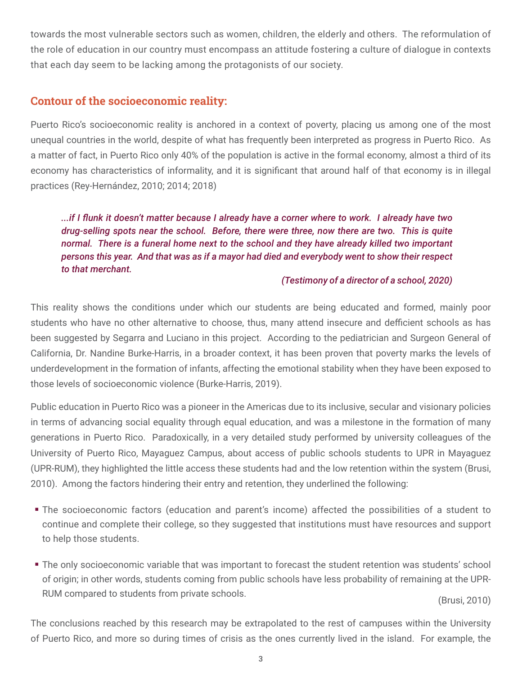<span id="page-5-0"></span>towards the most vulnerable sectors such as women, children, the elderly and others. The reformulation of the role of education in our country must encompass an attitude fostering a culture of dialogue in contexts that each day seem to be lacking among the protagonists of our society.

# Contour of the socioeconomic reality:

Puerto Rico's socioeconomic reality is anchored in a context of poverty, placing us among one of the most unequal countries in the world, despite of what has frequently been interpreted as progress in Puerto Rico. As a matter of fact, in Puerto Rico only 40% of the population is active in the formal economy, almost a third of its economy has characteristics of informality, and it is significant that around half of that economy is in illegal practices (Rey-Hernández, 2010; 2014; 2018)

*...if I flunk it doesn't matter because I already have a corner where to work. I already have two drug-selling spots near the school. Before, there were three, now there are two. This is quite normal. There is a funeral home next to the school and they have already killed two important persons this year. And that was as if a mayor had died and everybody went to show their respect to that merchant.* 

## *(Testimony of a director of a school, 2020)*

This reality shows the conditions under which our students are being educated and formed, mainly poor students who have no other alternative to choose, thus, many attend insecure and defficient schools as has been suggested by Segarra and Luciano in this project. According to the pediatrician and Surgeon General of California, Dr. Nandine Burke-Harris, in a broader context, it has been proven that poverty marks the levels of underdevelopment in the formation of infants, affecting the emotional stability when they have been exposed to those levels of socioeconomic violence (Burke-Harris, 2019).

Public education in Puerto Rico was a pioneer in the Americas due to its inclusive, secular and visionary policies in terms of advancing social equality through equal education, and was a milestone in the formation of many generations in Puerto Rico. Paradoxically, in a very detailed study performed by university colleagues of the University of Puerto Rico, Mayaguez Campus, about access of public schools students to UPR in Mayaguez (UPR-RUM), they highlighted the little access these students had and the low retention within the system (Brusi, 2010). Among the factors hindering their entry and retention, they underlined the following:

- The socioeconomic factors (education and parent's income) affected the possibilities of a student to continue and complete their college, so they suggested that institutions must have resources and support to help those students.
- **The only socioeconomic variable that was important to forecast the student retention was students' school** of origin; in other words, students coming from public schools have less probability of remaining at the UPR-RUM compared to students from private schools. (Brusi, 2010)

The conclusions reached by this research may be extrapolated to the rest of campuses within the University of Puerto Rico, and more so during times of crisis as the ones currently lived in the island. For example, the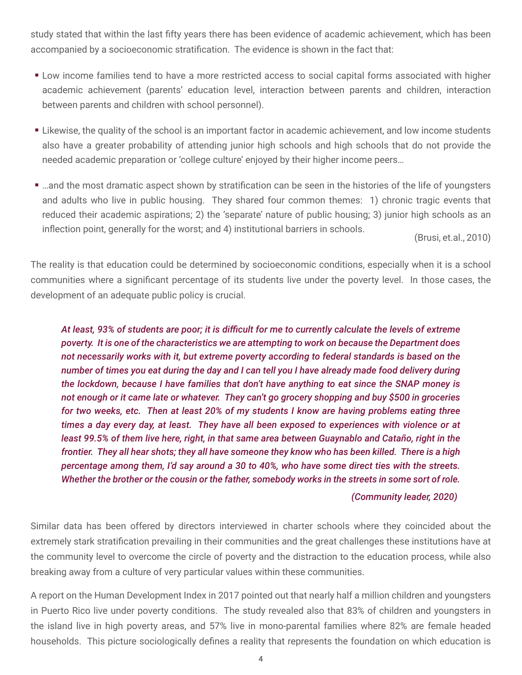study stated that within the last fifty years there has been evidence of academic achievement, which has been accompanied by a socioeconomic stratification. The evidence is shown in the fact that:

- **EXECT LOW INCOME 5 LOW INCOME FOR THE LOW INCORDER** Low income families tend to have forms associated with higher academic achievement (parents' education level, interaction between parents and children, interaction between parents and children with school personnel).
- Likewise, the quality of the school is an important factor in academic achievement, and low income students also have a greater probability of attending junior high schools and high schools that do not provide the needed academic preparation or 'college culture' enjoyed by their higher income peers…
- ...and the most dramatic aspect shown by stratification can be seen in the histories of the life of youngsters and adults who live in public housing. They shared four common themes: 1) chronic tragic events that reduced their academic aspirations; 2) the 'separate' nature of public housing; 3) junior high schools as an inflection point, generally for the worst; and 4) institutional barriers in schools. (Brusi, et.al., 2010)

The reality is that education could be determined by socioeconomic conditions, especially when it is a school communities where a significant percentage of its students live under the poverty level. In those cases, the development of an adequate public policy is crucial.

*At least, 93% of students are poor; it is difficult for me to currently calculate the levels of extreme poverty. It is one of the characteristics we are attempting to work on because the Department does not necessarily works with it, but extreme poverty according to federal standards is based on the number of times you eat during the day and I can tell you I have already made food delivery during the lockdown, because I have families that don't have anything to eat since the SNAP money is not enough or it came late or whatever. They can't go grocery shopping and buy \$500 in groceries for two weeks, etc. Then at least 20% of my students I know are having problems eating three times a day every day, at least. They have all been exposed to experiences with violence or at least 99.5% of them live here, right, in that same area between Guaynablo and Cataño, right in the frontier. They all hear shots; they all have someone they know who has been killed. There is a high percentage among them, I'd say around a 30 to 40%, who have some direct ties with the streets. Whether the brother or the cousin or the father, somebody works in the streets in some sort of role.* 

### *(Community leader, 2020)*

Similar data has been offered by directors interviewed in charter schools where they coincided about the extremely stark stratification prevailing in their communities and the great challenges these institutions have at the community level to overcome the circle of poverty and the distraction to the education process, while also breaking away from a culture of very particular values within these communities.

A report on the Human Development Index in 2017 pointed out that nearly half a million children and youngsters in Puerto Rico live under poverty conditions. The study revealed also that 83% of children and youngsters in the island live in high poverty areas, and 57% live in mono-parental families where 82% are female headed households. This picture sociologically defines a reality that represents the foundation on which education is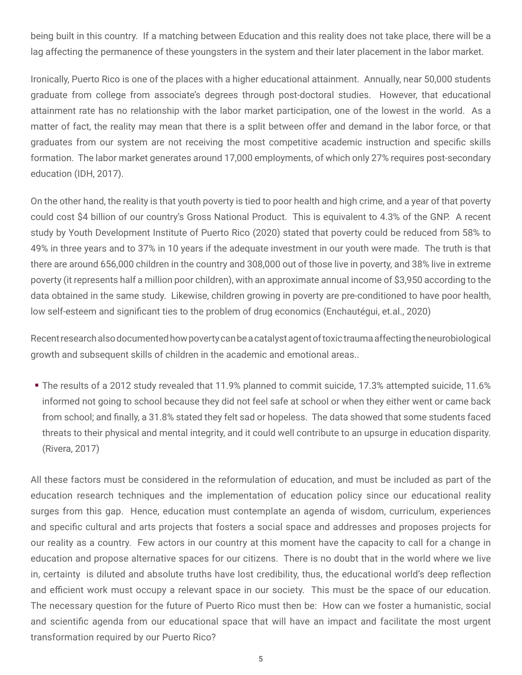being built in this country. If a matching between Education and this reality does not take place, there will be a lag affecting the permanence of these youngsters in the system and their later placement in the labor market.

Ironically, Puerto Rico is one of the places with a higher educational attainment. Annually, near 50,000 students graduate from college from associate's degrees through post-doctoral studies. However, that educational attainment rate has no relationship with the labor market participation, one of the lowest in the world. As a matter of fact, the reality may mean that there is a split between offer and demand in the labor force, or that graduates from our system are not receiving the most competitive academic instruction and specific skills formation. The labor market generates around 17,000 employments, of which only 27% requires post-secondary education (IDH, 2017).

On the other hand, the reality is that youth poverty is tied to poor health and high crime, and a year of that poverty could cost \$4 billion of our country's Gross National Product. This is equivalent to 4.3% of the GNP. A recent study by Youth Development Institute of Puerto Rico (2020) stated that poverty could be reduced from 58% to 49% in three years and to 37% in 10 years if the adequate investment in our youth were made. The truth is that there are around 656,000 children in the country and 308,000 out of those live in poverty, and 38% live in extreme poverty (it represents half a million poor children), with an approximate annual income of \$3,950 according to the data obtained in the same study. Likewise, children growing in poverty are pre-conditioned to have poor health, low self-esteem and significant ties to the problem of drug economics (Enchautégui, et.al., 2020)

Recent research also documented how poverty can be a catalyst agent of toxic trauma affecting the neurobiological growth and subsequent skills of children in the academic and emotional areas..

 The results of a 2012 study revealed that 11.9% planned to commit suicide, 17.3% attempted suicide, 11.6% informed not going to school because they did not feel safe at school or when they either went or came back from school; and finally, a 31.8% stated they felt sad or hopeless. The data showed that some students faced threats to their physical and mental integrity, and it could well contribute to an upsurge in education disparity. (Rivera, 2017)

All these factors must be considered in the reformulation of education, and must be included as part of the education research techniques and the implementation of education policy since our educational reality surges from this gap. Hence, education must contemplate an agenda of wisdom, curriculum, experiences and specific cultural and arts projects that fosters a social space and addresses and proposes projects for our reality as a country. Few actors in our country at this moment have the capacity to call for a change in education and propose alternative spaces for our citizens. There is no doubt that in the world where we live in, certainty is diluted and absolute truths have lost credibility, thus, the educational world's deep reflection and efficient work must occupy a relevant space in our society. This must be the space of our education. The necessary question for the future of Puerto Rico must then be: How can we foster a humanistic, social and scientific agenda from our educational space that will have an impact and facilitate the most urgent transformation required by our Puerto Rico?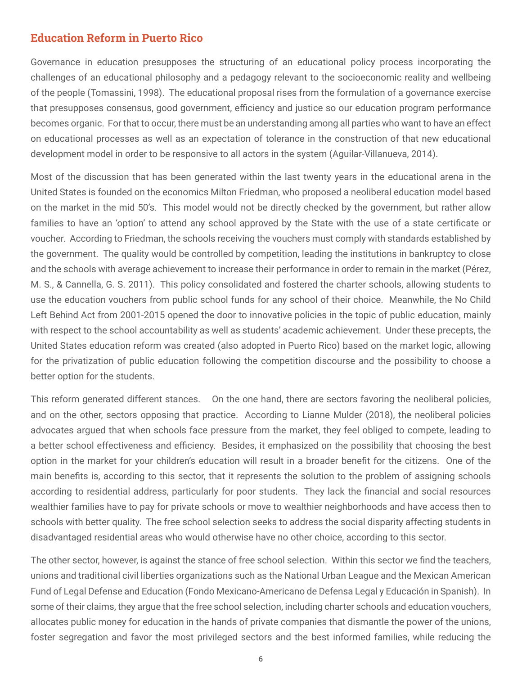# <span id="page-8-0"></span>Education Reform in Puerto Rico

Governance in education presupposes the structuring of an educational policy process incorporating the challenges of an educational philosophy and a pedagogy relevant to the socioeconomic reality and wellbeing of the people (Tomassini, 1998). The educational proposal rises from the formulation of a governance exercise that presupposes consensus, good government, efficiency and justice so our education program performance becomes organic. For that to occur, there must be an understanding among all parties who want to have an effect on educational processes as well as an expectation of tolerance in the construction of that new educational development model in order to be responsive to all actors in the system (Aguilar-Villanueva, 2014).

Most of the discussion that has been generated within the last twenty years in the educational arena in the United States is founded on the economics Milton Friedman, who proposed a neoliberal education model based on the market in the mid 50's. This model would not be directly checked by the government, but rather allow families to have an 'option' to attend any school approved by the State with the use of a state certificate or voucher. According to Friedman, the schools receiving the vouchers must comply with standards established by the government. The quality would be controlled by competition, leading the institutions in bankruptcy to close and the schools with average achievement to increase their performance in order to remain in the market (Pérez, M. S., & Cannella, G. S. 2011). This policy consolidated and fostered the charter schools, allowing students to use the education vouchers from public school funds for any school of their choice. Meanwhile, the No Child Left Behind Act from 2001-2015 opened the door to innovative policies in the topic of public education, mainly with respect to the school accountability as well as students' academic achievement. Under these precepts, the United States education reform was created (also adopted in Puerto Rico) based on the market logic, allowing for the privatization of public education following the competition discourse and the possibility to choose a better option for the students.

This reform generated different stances. On the one hand, there are sectors favoring the neoliberal policies, and on the other, sectors opposing that practice. According to Lianne Mulder (2018), the neoliberal policies advocates argued that when schools face pressure from the market, they feel obliged to compete, leading to a better school effectiveness and efficiency. Besides, it emphasized on the possibility that choosing the best option in the market for your children's education will result in a broader benefit for the citizens. One of the main benefits is, according to this sector, that it represents the solution to the problem of assigning schools according to residential address, particularly for poor students. They lack the financial and social resources wealthier families have to pay for private schools or move to wealthier neighborhoods and have access then to schools with better quality. The free school selection seeks to address the social disparity affecting students in disadvantaged residential areas who would otherwise have no other choice, according to this sector.

The other sector, however, is against the stance of free school selection. Within this sector we find the teachers, unions and traditional civil liberties organizations such as the National Urban League and the Mexican American Fund of Legal Defense and Education (Fondo Mexicano-Americano de Defensa Legal y Educación in Spanish). In some of their claims, they argue that the free school selection, including charter schools and education vouchers, allocates public money for education in the hands of private companies that dismantle the power of the unions, foster segregation and favor the most privileged sectors and the best informed families, while reducing the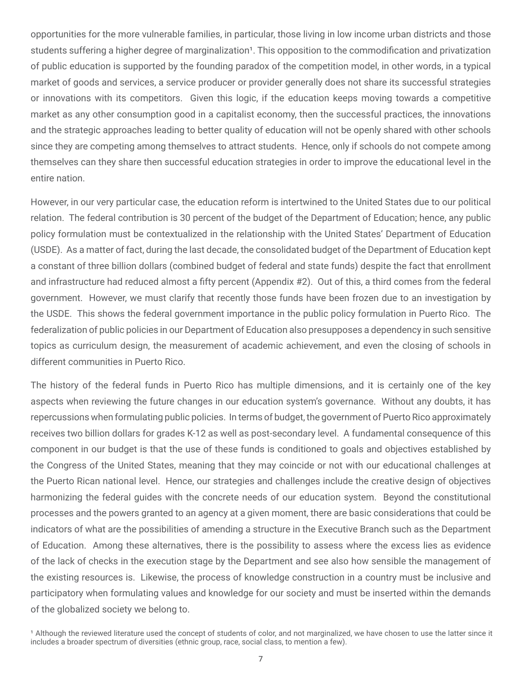opportunities for the more vulnerable families, in particular, those living in low income urban districts and those students suffering a higher degree of marginalization<sup>1</sup>. This opposition to the commodification and privatization of public education is supported by the founding paradox of the competition model, in other words, in a typical market of goods and services, a service producer or provider generally does not share its successful strategies or innovations with its competitors. Given this logic, if the education keeps moving towards a competitive market as any other consumption good in a capitalist economy, then the successful practices, the innovations and the strategic approaches leading to better quality of education will not be openly shared with other schools since they are competing among themselves to attract students. Hence, only if schools do not compete among themselves can they share then successful education strategies in order to improve the educational level in the entire nation.

However, in our very particular case, the education reform is intertwined to the United States due to our political relation. The federal contribution is 30 percent of the budget of the Department of Education; hence, any public policy formulation must be contextualized in the relationship with the United States' Department of Education (USDE). As a matter of fact, during the last decade, the consolidated budget of the Department of Education kept a constant of three billion dollars (combined budget of federal and state funds) despite the fact that enrollment and infrastructure had reduced almost a fifty percent (Appendix #2). Out of this, a third comes from the federal government. However, we must clarify that recently those funds have been frozen due to an investigation by the USDE. This shows the federal government importance in the public policy formulation in Puerto Rico. The federalization of public policies in our Department of Education also presupposes a dependency in such sensitive topics as curriculum design, the measurement of academic achievement, and even the closing of schools in different communities in Puerto Rico.

The history of the federal funds in Puerto Rico has multiple dimensions, and it is certainly one of the key aspects when reviewing the future changes in our education system's governance. Without any doubts, it has repercussions when formulating public policies. In terms of budget, the government of Puerto Rico approximately receives two billion dollars for grades K-12 as well as post-secondary level. A fundamental consequence of this component in our budget is that the use of these funds is conditioned to goals and objectives established by the Congress of the United States, meaning that they may coincide or not with our educational challenges at the Puerto Rican national level. Hence, our strategies and challenges include the creative design of objectives harmonizing the federal guides with the concrete needs of our education system. Beyond the constitutional processes and the powers granted to an agency at a given moment, there are basic considerations that could be indicators of what are the possibilities of amending a structure in the Executive Branch such as the Department of Education. Among these alternatives, there is the possibility to assess where the excess lies as evidence of the lack of checks in the execution stage by the Department and see also how sensible the management of the existing resources is. Likewise, the process of knowledge construction in a country must be inclusive and participatory when formulating values and knowledge for our society and must be inserted within the demands of the globalized society we belong to.

<sup>&</sup>lt;sup>1</sup> Although the reviewed literature used the concept of students of color, and not marginalized, we have chosen to use the latter since it includes a broader spectrum of diversities (ethnic group, race, social class, to mention a few).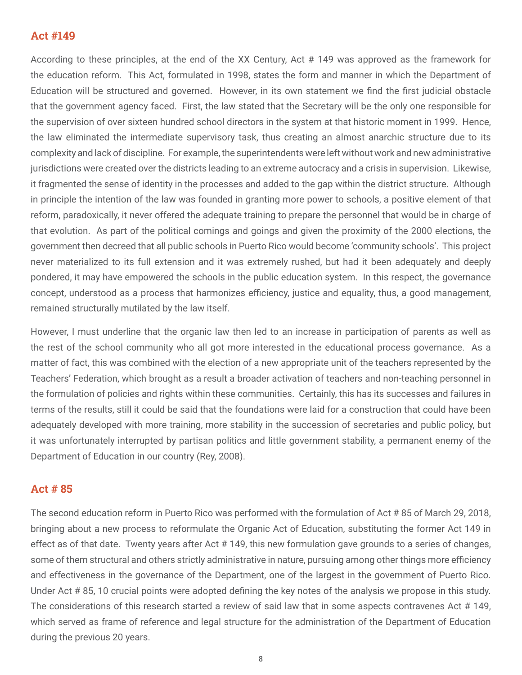# <span id="page-10-0"></span>Act #149

According to these principles, at the end of the XX Century, Act # 149 was approved as the framework for the education reform. This Act, formulated in 1998, states the form and manner in which the Department of Education will be structured and governed. However, in its own statement we find the first judicial obstacle that the government agency faced. First, the law stated that the Secretary will be the only one responsible for the supervision of over sixteen hundred school directors in the system at that historic moment in 1999. Hence, the law eliminated the intermediate supervisory task, thus creating an almost anarchic structure due to its complexity and lack of discipline. For example, the superintendents were left without work and new administrative jurisdictions were created over the districts leading to an extreme autocracy and a crisis in supervision. Likewise, it fragmented the sense of identity in the processes and added to the gap within the district structure. Although in principle the intention of the law was founded in granting more power to schools, a positive element of that reform, paradoxically, it never offered the adequate training to prepare the personnel that would be in charge of that evolution. As part of the political comings and goings and given the proximity of the 2000 elections, the government then decreed that all public schools in Puerto Rico would become 'community schools'. This project never materialized to its full extension and it was extremely rushed, but had it been adequately and deeply pondered, it may have empowered the schools in the public education system. In this respect, the governance concept, understood as a process that harmonizes efficiency, justice and equality, thus, a good management, remained structurally mutilated by the law itself.

However, I must underline that the organic law then led to an increase in participation of parents as well as the rest of the school community who all got more interested in the educational process governance. As a matter of fact, this was combined with the election of a new appropriate unit of the teachers represented by the Teachers' Federation, which brought as a result a broader activation of teachers and non-teaching personnel in the formulation of policies and rights within these communities. Certainly, this has its successes and failures in terms of the results, still it could be said that the foundations were laid for a construction that could have been adequately developed with more training, more stability in the succession of secretaries and public policy, but it was unfortunately interrupted by partisan politics and little government stability, a permanent enemy of the Department of Education in our country (Rey, 2008).

## Act # 85

The second education reform in Puerto Rico was performed with the formulation of Act # 85 of March 29, 2018, bringing about a new process to reformulate the Organic Act of Education, substituting the former Act 149 in effect as of that date. Twenty years after Act # 149, this new formulation gave grounds to a series of changes, some of them structural and others strictly administrative in nature, pursuing among other things more efficiency and effectiveness in the governance of the Department, one of the largest in the government of Puerto Rico. Under Act # 85, 10 crucial points were adopted defining the key notes of the analysis we propose in this study. The considerations of this research started a review of said law that in some aspects contravenes Act # 149, which served as frame of reference and legal structure for the administration of the Department of Education during the previous 20 years.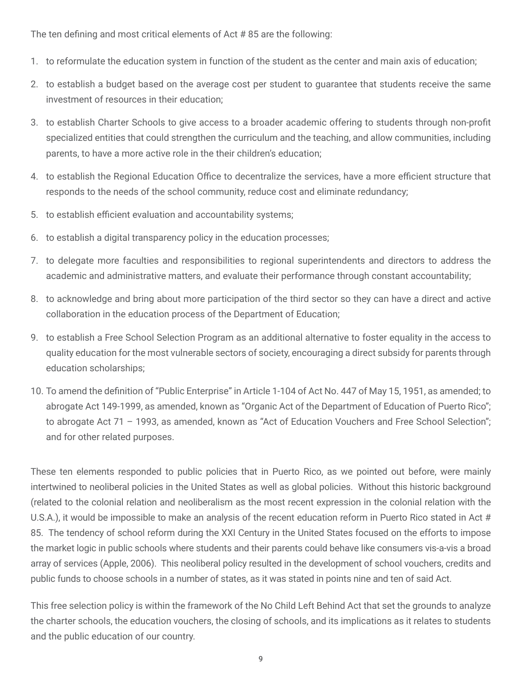The ten defining and most critical elements of Act # 85 are the following:

- 1. to reformulate the education system in function of the student as the center and main axis of education;
- 2. to establish a budget based on the average cost per student to guarantee that students receive the same investment of resources in their education;
- 3. to establish Charter Schools to give access to a broader academic offering to students through non-profit specialized entities that could strengthen the curriculum and the teaching, and allow communities, including parents, to have a more active role in the their children's education;
- 4. to establish the Regional Education Office to decentralize the services, have a more efficient structure that responds to the needs of the school community, reduce cost and eliminate redundancy;
- 5. to establish efficient evaluation and accountability systems;
- 6. to establish a digital transparency policy in the education processes;
- 7. to delegate more faculties and responsibilities to regional superintendents and directors to address the academic and administrative matters, and evaluate their performance through constant accountability;
- 8. to acknowledge and bring about more participation of the third sector so they can have a direct and active collaboration in the education process of the Department of Education;
- 9. to establish a Free School Selection Program as an additional alternative to foster equality in the access to quality education for the most vulnerable sectors of society, encouraging a direct subsidy for parents through education scholarships;
- 10. To amend the definition of "Public Enterprise" in Article 1-104 of Act No. 447 of May 15, 1951, as amended; to abrogate Act 149-1999, as amended, known as "Organic Act of the Department of Education of Puerto Rico"; to abrogate Act 71 – 1993, as amended, known as "Act of Education Vouchers and Free School Selection"; and for other related purposes.

These ten elements responded to public policies that in Puerto Rico, as we pointed out before, were mainly intertwined to neoliberal policies in the United States as well as global policies. Without this historic background (related to the colonial relation and neoliberalism as the most recent expression in the colonial relation with the U.S.A.), it would be impossible to make an analysis of the recent education reform in Puerto Rico stated in Act # 85. The tendency of school reform during the XXI Century in the United States focused on the efforts to impose the market logic in public schools where students and their parents could behave like consumers vis-a-vis a broad array of services (Apple, 2006). This neoliberal policy resulted in the development of school vouchers, credits and public funds to choose schools in a number of states, as it was stated in points nine and ten of said Act.

This free selection policy is within the framework of the No Child Left Behind Act that set the grounds to analyze the charter schools, the education vouchers, the closing of schools, and its implications as it relates to students and the public education of our country.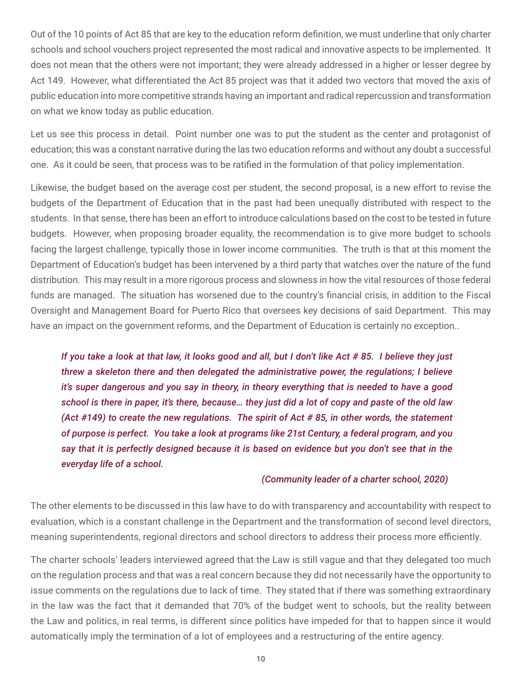Out of the 10 points of Act 85 that are key to the education reform definition, we must underline that only charter schools and school vouchers project represented the most radical and innovative aspects to be implemented. It does not mean that the others were not important; they were already addressed in a higher or lesser degree by Act 149. However, what differentiated the Act 85 project was that it added two vectors that moved the axis of public education into more competitive strands having an important and radical repercussion and transformation on what we know today as public education.

Let us see this process in detail. Point number one was to put the student as the center and protagonist of education; this was a constant narrative during the las two education reforms and without any doubt a successful one. As it could be seen, that process was to be ratified in the formulation of that policy implementation.

Likewise, the budget based on the average cost per student, the second proposal, is a new effort to revise the budgets of the Department of Education that in the past had been unequally distributed with respect to the students. In that sense, there has been an effort to introduce calculations based on the cost to be tested in future budgets. However, when proposing broader equality, the recommendation is to give more budget to schools facing the largest challenge, typically those in lower income communities. The truth is that at this moment the Department of Education's budget has been intervened by a third party that watches over the nature of the fund distribution. This may result in a more rigorous process and slowness in how the vital resources of those federal funds are managed. The situation has worsened due to the country's financial crisis, in addition to the Fiscal Oversight and Management Board for Puerto Rico that oversees key decisions of said Department. This may have an impact on the government reforms, and the Department of Education is certainly no exception..

*If you take a look at that law, it looks good and all, but I don't like Act # 85. I believe they just threw a skeleton there and then delegated the administrative power, the regulations; I believe it's super dangerous and you say in theory, in theory everything that is needed to have a good school is there in paper, it's there, because… they just did a lot of copy and paste of the old law (Act #149) to create the new regulations. The spirit of Act # 85, in other words, the statement of purpose is perfect. You take a look at programs like 21st Century, a federal program, and you say that it is perfectly designed because it is based on evidence but you don't see that in the everyday life of a school.* 

### *(Community leader of a charter school, 2020)*

The other elements to be discussed in this law have to do with transparency and accountability with respect to evaluation, which is a constant challenge in the Department and the transformation of second level directors, meaning superintendents, regional directors and school directors to address their process more efficiently.

The charter schools' leaders interviewed agreed that the Law is still vague and that they delegated too much on the regulation process and that was a real concern because they did not necessarily have the opportunity to issue comments on the regulations due to lack of time. They stated that if there was something extraordinary in the law was the fact that it demanded that 70% of the budget went to schools, but the reality between the Law and politics, in real terms, is different since politics have impeded for that to happen since it would automatically imply the termination of a lot of employees and a restructuring of the entire agency.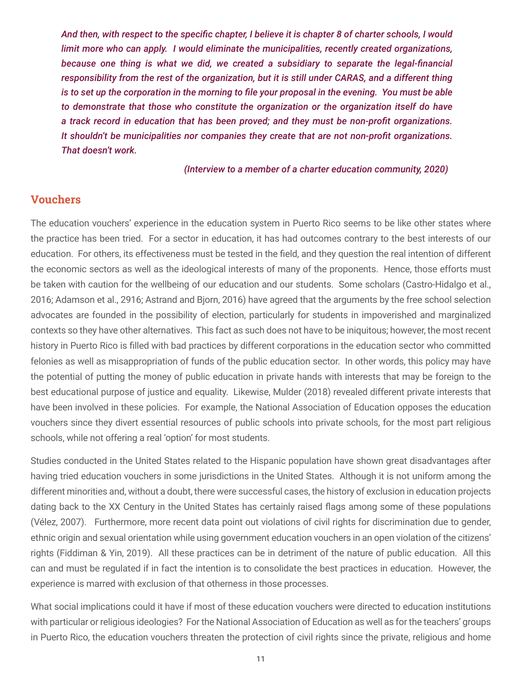<span id="page-13-0"></span>*And then, with respect to the specific chapter, I believe it is chapter 8 of charter schools, I would limit more who can apply. I would eliminate the municipalities, recently created organizations, because one thing is what we did, we created a subsidiary to separate the legal-financial responsibility from the rest of the organization, but it is still under CARAS, and a different thing is to set up the corporation in the morning to file your proposal in the evening. You must be able to demonstrate that those who constitute the organization or the organization itself do have a track record in education that has been proved; and they must be non-profit organizations. It shouldn't be municipalities nor companies they create that are not non-profit organizations. That doesn't work.* 

*(Interview to a member of a charter education community, 2020)*

## Vouchers

The education vouchers' experience in the education system in Puerto Rico seems to be like other states where the practice has been tried. For a sector in education, it has had outcomes contrary to the best interests of our education. For others, its effectiveness must be tested in the field, and they question the real intention of different the economic sectors as well as the ideological interests of many of the proponents. Hence, those efforts must be taken with caution for the wellbeing of our education and our students. Some scholars (Castro-Hidalgo et al., 2016; Adamson et al., 2916; Astrand and Bjorn, 2016) have agreed that the arguments by the free school selection advocates are founded in the possibility of election, particularly for students in impoverished and marginalized contexts so they have other alternatives. This fact as such does not have to be iniquitous; however, the most recent history in Puerto Rico is filled with bad practices by different corporations in the education sector who committed felonies as well as misappropriation of funds of the public education sector. In other words, this policy may have the potential of putting the money of public education in private hands with interests that may be foreign to the best educational purpose of justice and equality. Likewise, Mulder (2018) revealed different private interests that have been involved in these policies. For example, the National Association of Education opposes the education vouchers since they divert essential resources of public schools into private schools, for the most part religious schools, while not offering a real 'option' for most students.

Studies conducted in the United States related to the Hispanic population have shown great disadvantages after having tried education vouchers in some jurisdictions in the United States. Although it is not uniform among the different minorities and, without a doubt, there were successful cases, the history of exclusion in education projects dating back to the XX Century in the United States has certainly raised flags among some of these populations (Vélez, 2007). Furthermore, more recent data point out violations of civil rights for discrimination due to gender, ethnic origin and sexual orientation while using government education vouchers in an open violation of the citizens' rights (Fiddiman & Yin, 2019). All these practices can be in detriment of the nature of public education. All this can and must be regulated if in fact the intention is to consolidate the best practices in education. However, the experience is marred with exclusion of that otherness in those processes.

What social implications could it have if most of these education vouchers were directed to education institutions with particular or religious ideologies? For the National Association of Education as well as for the teachers' groups in Puerto Rico, the education vouchers threaten the protection of civil rights since the private, religious and home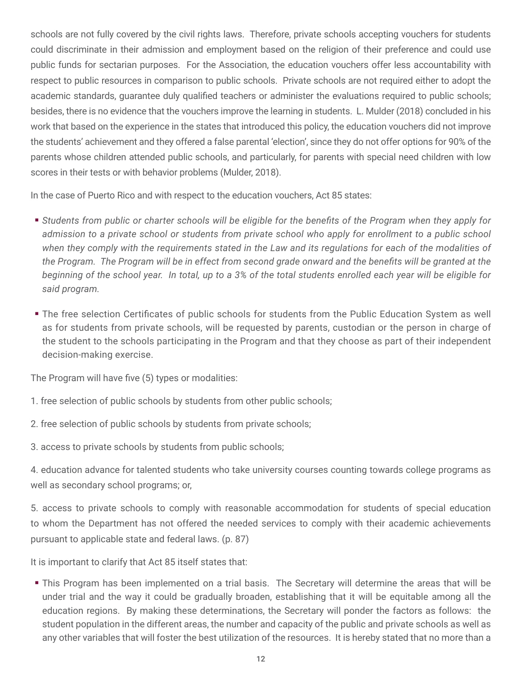schools are not fully covered by the civil rights laws. Therefore, private schools accepting vouchers for students could discriminate in their admission and employment based on the religion of their preference and could use public funds for sectarian purposes. For the Association, the education vouchers offer less accountability with respect to public resources in comparison to public schools. Private schools are not required either to adopt the academic standards, guarantee duly qualified teachers or administer the evaluations required to public schools; besides, there is no evidence that the vouchers improve the learning in students. L. Mulder (2018) concluded in his work that based on the experience in the states that introduced this policy, the education vouchers did not improve the students' achievement and they offered a false parental 'election', since they do not offer options for 90% of the parents whose children attended public schools, and particularly, for parents with special need children with low scores in their tests or with behavior problems (Mulder, 2018).

In the case of Puerto Rico and with respect to the education vouchers, Act 85 states:

- *Students from public or charter schools will be eligible for the benefits of the Program when they apply for admission to a private school or students from private school who apply for enrollment to a public school when they comply with the requirements stated in the Law and its regulations for each of the modalities of the Program. The Program will be in effect from second grade onward and the benefits will be granted at the beginning of the school year. In total, up to a 3% of the total students enrolled each year will be eligible for said program.*
- The free selection Certificates of public schools for students from the Public Education System as well as for students from private schools, will be requested by parents, custodian or the person in charge of the student to the schools participating in the Program and that they choose as part of their independent decision-making exercise.

The Program will have five (5) types or modalities:

- 1. free selection of public schools by students from other public schools;
- 2. free selection of public schools by students from private schools;
- 3. access to private schools by students from public schools;

4. education advance for talented students who take university courses counting towards college programs as well as secondary school programs; or,

5. access to private schools to comply with reasonable accommodation for students of special education to whom the Department has not offered the needed services to comply with their academic achievements pursuant to applicable state and federal laws. (p. 87)

It is important to clarify that Act 85 itself states that:

 This Program has been implemented on a trial basis. The Secretary will determine the areas that will be under trial and the way it could be gradually broaden, establishing that it will be equitable among all the education regions. By making these determinations, the Secretary will ponder the factors as follows: the student population in the different areas, the number and capacity of the public and private schools as well as any other variables that will foster the best utilization of the resources. It is hereby stated that no more than a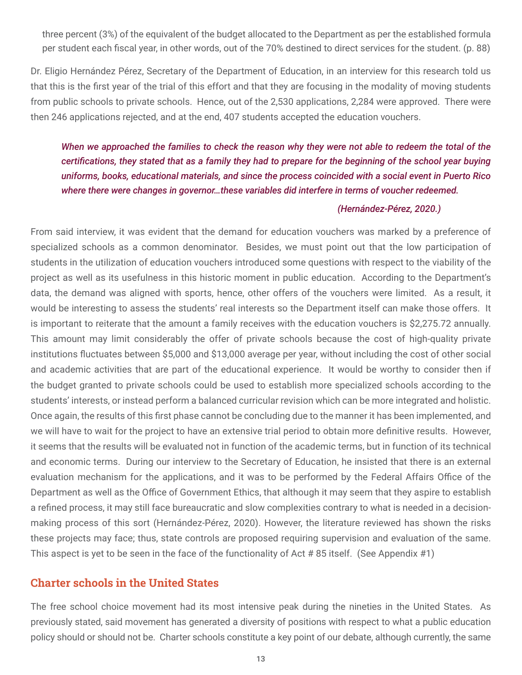<span id="page-15-0"></span>three percent (3%) of the equivalent of the budget allocated to the Department as per the established formula per student each fiscal year, in other words, out of the 70% destined to direct services for the student. (p. 88)

Dr. Eligio Hernández Pérez, Secretary of the Department of Education, in an interview for this research told us that this is the first year of the trial of this effort and that they are focusing in the modality of moving students from public schools to private schools. Hence, out of the 2,530 applications, 2,284 were approved. There were then 246 applications rejected, and at the end, 407 students accepted the education vouchers.

# *When we approached the families to check the reason why they were not able to redeem the total of the certifications, they stated that as a family they had to prepare for the beginning of the school year buying uniforms, books, educational materials, and since the process coincided with a social event in Puerto Rico where there were changes in governor…these variables did interfere in terms of voucher redeemed.*

## *(Hernández-Pérez, 2020.)*

From said interview, it was evident that the demand for education vouchers was marked by a preference of specialized schools as a common denominator. Besides, we must point out that the low participation of students in the utilization of education vouchers introduced some questions with respect to the viability of the project as well as its usefulness in this historic moment in public education. According to the Department's data, the demand was aligned with sports, hence, other offers of the vouchers were limited. As a result, it would be interesting to assess the students' real interests so the Department itself can make those offers. It is important to reiterate that the amount a family receives with the education vouchers is \$2,275.72 annually. This amount may limit considerably the offer of private schools because the cost of high-quality private institutions fluctuates between \$5,000 and \$13,000 average per year, without including the cost of other social and academic activities that are part of the educational experience. It would be worthy to consider then if the budget granted to private schools could be used to establish more specialized schools according to the students' interests, or instead perform a balanced curricular revision which can be more integrated and holistic. Once again, the results of this first phase cannot be concluding due to the manner it has been implemented, and we will have to wait for the project to have an extensive trial period to obtain more definitive results. However, it seems that the results will be evaluated not in function of the academic terms, but in function of its technical and economic terms. During our interview to the Secretary of Education, he insisted that there is an external evaluation mechanism for the applications, and it was to be performed by the Federal Affairs Office of the Department as well as the Office of Government Ethics, that although it may seem that they aspire to establish a refined process, it may still face bureaucratic and slow complexities contrary to what is needed in a decisionmaking process of this sort (Hernández-Pérez, 2020). However, the literature reviewed has shown the risks these projects may face; thus, state controls are proposed requiring supervision and evaluation of the same. This aspect is yet to be seen in the face of the functionality of Act # 85 itself. (See Appendix #1)

# Charter schools in the United States

The free school choice movement had its most intensive peak during the nineties in the United States. As previously stated, said movement has generated a diversity of positions with respect to what a public education policy should or should not be. Charter schools constitute a key point of our debate, although currently, the same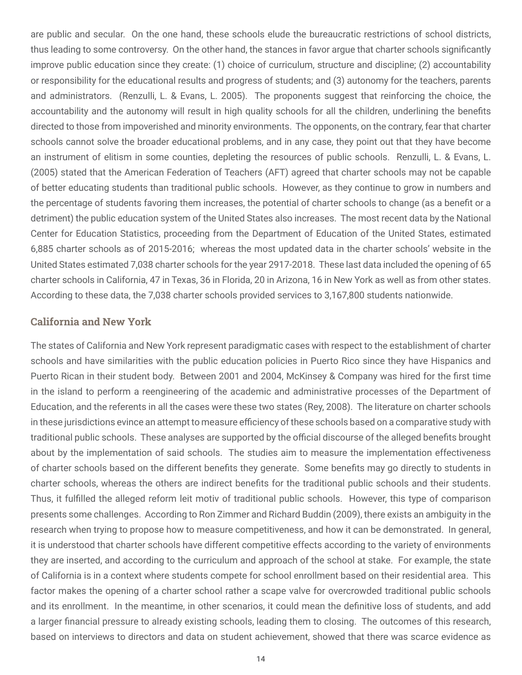<span id="page-16-0"></span>are public and secular. On the one hand, these schools elude the bureaucratic restrictions of school districts, thus leading to some controversy. On the other hand, the stances in favor argue that charter schools significantly improve public education since they create: (1) choice of curriculum, structure and discipline; (2) accountability or responsibility for the educational results and progress of students; and (3) autonomy for the teachers, parents and administrators. (Renzulli, L. & Evans, L. 2005). The proponents suggest that reinforcing the choice, the accountability and the autonomy will result in high quality schools for all the children, underlining the benefits directed to those from impoverished and minority environments. The opponents, on the contrary, fear that charter schools cannot solve the broader educational problems, and in any case, they point out that they have become an instrument of elitism in some counties, depleting the resources of public schools. Renzulli, L. & Evans, L. (2005) stated that the American Federation of Teachers (AFT) agreed that charter schools may not be capable of better educating students than traditional public schools. However, as they continue to grow in numbers and the percentage of students favoring them increases, the potential of charter schools to change (as a benefit or a detriment) the public education system of the United States also increases. The most recent data by the National Center for Education Statistics, proceeding from the Department of Education of the United States, estimated 6,885 charter schools as of 2015-2016; whereas the most updated data in the charter schools' website in the United States estimated 7,038 charter schools for the year 2917-2018. These last data included the opening of 65 charter schools in California, 47 in Texas, 36 in Florida, 20 in Arizona, 16 in New York as well as from other states. According to these data, the 7,038 charter schools provided services to 3,167,800 students nationwide.

### California and New York

The states of California and New York represent paradigmatic cases with respect to the establishment of charter schools and have similarities with the public education policies in Puerto Rico since they have Hispanics and Puerto Rican in their student body. Between 2001 and 2004, McKinsey & Company was hired for the first time in the island to perform a reengineering of the academic and administrative processes of the Department of Education, and the referents in all the cases were these two states (Rey, 2008). The literature on charter schools in these jurisdictions evince an attempt to measure efficiency of these schools based on a comparative study with traditional public schools. These analyses are supported by the official discourse of the alleged benefits brought about by the implementation of said schools. The studies aim to measure the implementation effectiveness of charter schools based on the different benefits they generate. Some benefits may go directly to students in charter schools, whereas the others are indirect benefits for the traditional public schools and their students. Thus, it fulfilled the alleged reform leit motiv of traditional public schools. However, this type of comparison presents some challenges. According to Ron Zimmer and Richard Buddin (2009), there exists an ambiguity in the research when trying to propose how to measure competitiveness, and how it can be demonstrated. In general, it is understood that charter schools have different competitive effects according to the variety of environments they are inserted, and according to the curriculum and approach of the school at stake. For example, the state of California is in a context where students compete for school enrollment based on their residential area. This factor makes the opening of a charter school rather a scape valve for overcrowded traditional public schools and its enrollment. In the meantime, in other scenarios, it could mean the definitive loss of students, and add a larger financial pressure to already existing schools, leading them to closing. The outcomes of this research, based on interviews to directors and data on student achievement, showed that there was scarce evidence as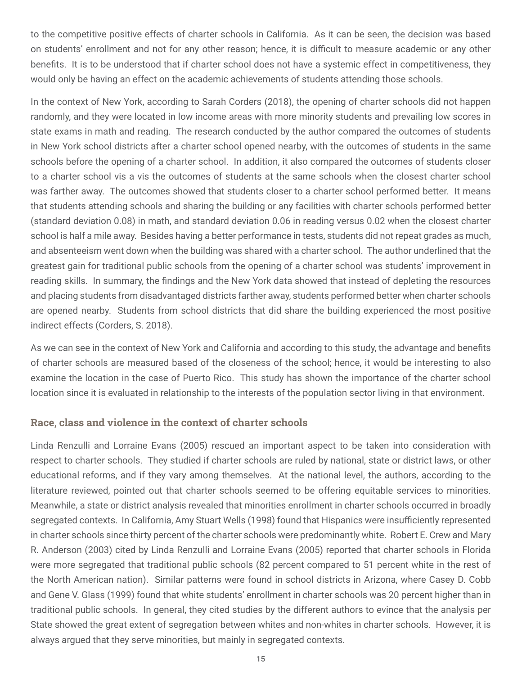<span id="page-17-0"></span>to the competitive positive effects of charter schools in California. As it can be seen, the decision was based on students' enrollment and not for any other reason; hence, it is difficult to measure academic or any other benefits. It is to be understood that if charter school does not have a systemic effect in competitiveness, they would only be having an effect on the academic achievements of students attending those schools.

In the context of New York, according to Sarah Corders (2018), the opening of charter schools did not happen randomly, and they were located in low income areas with more minority students and prevailing low scores in state exams in math and reading. The research conducted by the author compared the outcomes of students in New York school districts after a charter school opened nearby, with the outcomes of students in the same schools before the opening of a charter school. In addition, it also compared the outcomes of students closer to a charter school vis a vis the outcomes of students at the same schools when the closest charter school was farther away. The outcomes showed that students closer to a charter school performed better. It means that students attending schools and sharing the building or any facilities with charter schools performed better (standard deviation 0.08) in math, and standard deviation 0.06 in reading versus 0.02 when the closest charter school is half a mile away. Besides having a better performance in tests, students did not repeat grades as much, and absenteeism went down when the building was shared with a charter school. The author underlined that the greatest gain for traditional public schools from the opening of a charter school was students' improvement in reading skills. In summary, the findings and the New York data showed that instead of depleting the resources and placing students from disadvantaged districts farther away, students performed better when charter schools are opened nearby. Students from school districts that did share the building experienced the most positive indirect effects (Corders, S. 2018).

As we can see in the context of New York and California and according to this study, the advantage and benefits of charter schools are measured based of the closeness of the school; hence, it would be interesting to also examine the location in the case of Puerto Rico. This study has shown the importance of the charter school location since it is evaluated in relationship to the interests of the population sector living in that environment.

## Race, class and violence in the context of charter schools

Linda Renzulli and Lorraine Evans (2005) rescued an important aspect to be taken into consideration with respect to charter schools. They studied if charter schools are ruled by national, state or district laws, or other educational reforms, and if they vary among themselves. At the national level, the authors, according to the literature reviewed, pointed out that charter schools seemed to be offering equitable services to minorities. Meanwhile, a state or district analysis revealed that minorities enrollment in charter schools occurred in broadly segregated contexts. In California, Amy Stuart Wells (1998) found that Hispanics were insufficiently represented in charter schools since thirty percent of the charter schools were predominantly white. Robert E. Crew and Mary R. Anderson (2003) cited by Linda Renzulli and Lorraine Evans (2005) reported that charter schools in Florida were more segregated that traditional public schools (82 percent compared to 51 percent white in the rest of the North American nation). Similar patterns were found in school districts in Arizona, where Casey D. Cobb and Gene V. Glass (1999) found that white students' enrollment in charter schools was 20 percent higher than in traditional public schools. In general, they cited studies by the different authors to evince that the analysis per State showed the great extent of segregation between whites and non-whites in charter schools. However, it is always argued that they serve minorities, but mainly in segregated contexts.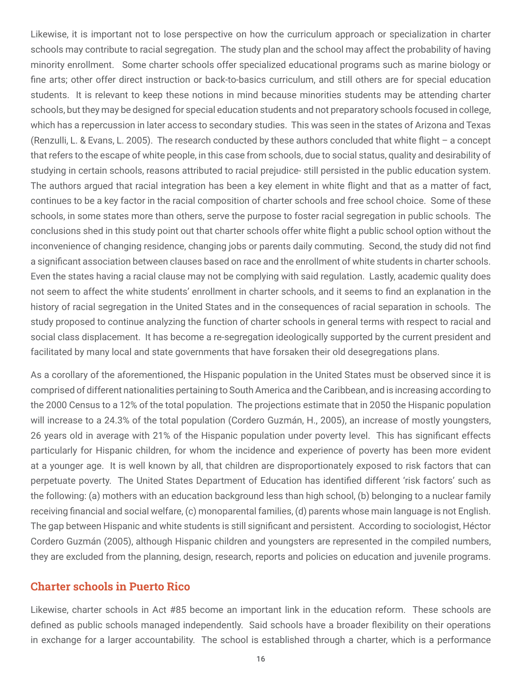<span id="page-18-0"></span>Likewise, it is important not to lose perspective on how the curriculum approach or specialization in charter schools may contribute to racial segregation. The study plan and the school may affect the probability of having minority enrollment. Some charter schools offer specialized educational programs such as marine biology or fine arts; other offer direct instruction or back-to-basics curriculum, and still others are for special education students. It is relevant to keep these notions in mind because minorities students may be attending charter schools, but they may be designed for special education students and not preparatory schools focused in college, which has a repercussion in later access to secondary studies. This was seen in the states of Arizona and Texas (Renzulli, L. & Evans, L. 2005). The research conducted by these authors concluded that white flight – a concept that refers to the escape of white people, in this case from schools, due to social status, quality and desirability of studying in certain schools, reasons attributed to racial prejudice- still persisted in the public education system. The authors argued that racial integration has been a key element in white flight and that as a matter of fact, continues to be a key factor in the racial composition of charter schools and free school choice. Some of these schools, in some states more than others, serve the purpose to foster racial segregation in public schools. The conclusions shed in this study point out that charter schools offer white flight a public school option without the inconvenience of changing residence, changing jobs or parents daily commuting. Second, the study did not find a significant association between clauses based on race and the enrollment of white students in charter schools. Even the states having a racial clause may not be complying with said regulation. Lastly, academic quality does not seem to affect the white students' enrollment in charter schools, and it seems to find an explanation in the history of racial segregation in the United States and in the consequences of racial separation in schools. The study proposed to continue analyzing the function of charter schools in general terms with respect to racial and social class displacement. It has become a re-segregation ideologically supported by the current president and facilitated by many local and state governments that have forsaken their old desegregations plans.

As a corollary of the aforementioned, the Hispanic population in the United States must be observed since it is comprised of different nationalities pertaining to South America and the Caribbean, and is increasing according to the 2000 Census to a 12% of the total population. The projections estimate that in 2050 the Hispanic population will increase to a 24.3% of the total population (Cordero Guzmán, H., 2005), an increase of mostly youngsters, 26 years old in average with 21% of the Hispanic population under poverty level. This has significant effects particularly for Hispanic children, for whom the incidence and experience of poverty has been more evident at a younger age. It is well known by all, that children are disproportionately exposed to risk factors that can perpetuate poverty. The United States Department of Education has identified different 'risk factors' such as the following: (a) mothers with an education background less than high school, (b) belonging to a nuclear family receiving financial and social welfare, (c) monoparental families, (d) parents whose main language is not English. The gap between Hispanic and white students is still significant and persistent. According to sociologist, Héctor Cordero Guzmán (2005), although Hispanic children and youngsters are represented in the compiled numbers, they are excluded from the planning, design, research, reports and policies on education and juvenile programs.

# Charter schools in Puerto Rico

Likewise, charter schools in Act #85 become an important link in the education reform. These schools are defined as public schools managed independently. Said schools have a broader flexibility on their operations in exchange for a larger accountability. The school is established through a charter, which is a performance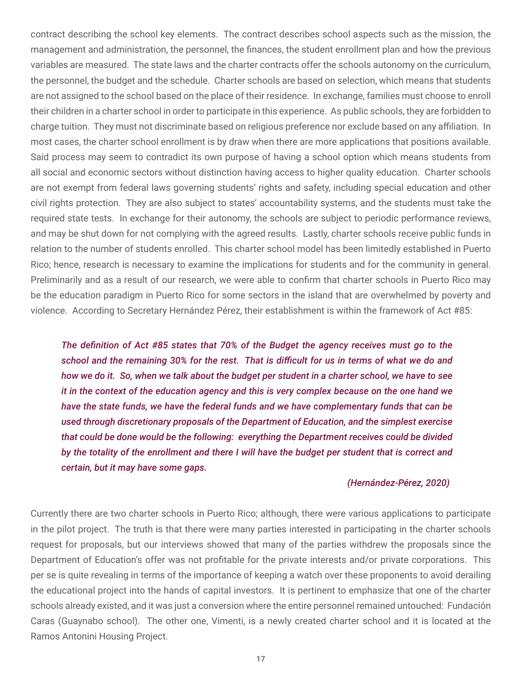contract describing the school key elements. The contract describes school aspects such as the mission, the management and administration, the personnel, the finances, the student enrollment plan and how the previous variables are measured. The state laws and the charter contracts offer the schools autonomy on the curriculum, the personnel, the budget and the schedule. Charter schools are based on selection, which means that students are not assigned to the school based on the place of their residence. In exchange, families must choose to enroll their children in a charter school in order to participate in this experience. As public schools, they are forbidden to charge tuition. They must not discriminate based on religious preference nor exclude based on any affiliation. In most cases, the charter school enrollment is by draw when there are more applications that positions available. Said process may seem to contradict its own purpose of having a school option which means students from all social and economic sectors without distinction having access to higher quality education. Charter schools are not exempt from federal laws governing students' rights and safety, including special education and other civil rights protection. They are also subject to states' accountability systems, and the students must take the required state tests. In exchange for their autonomy, the schools are subject to periodic performance reviews, and may be shut down for not complying with the agreed results. Lastly, charter schools receive public funds in relation to the number of students enrolled. This charter school model has been limitedly established in Puerto Rico; hence, research is necessary to examine the implications for students and for the community in general. Preliminarily and as a result of our research, we were able to confirm that charter schools in Puerto Rico may be the education paradigm in Puerto Rico for some sectors in the island that are overwhelmed by poverty and violence. According to Secretary Hernández Pérez, their establishment is within the framework of Act #85:

*The definition of Act #85 states that 70% of the Budget the agency receives must go to the school and the remaining 30% for the rest. That is difficult for us in terms of what we do and how we do it. So, when we talk about the budget per student in a charter school, we have to see it in the context of the education agency and this is very complex because on the one hand we have the state funds, we have the federal funds and we have complementary funds that can be used through discretionary proposals of the Department of Education, and the simplest exercise that could be done would be the following: everything the Department receives could be divided by the totality of the enrollment and there I will have the budget per student that is correct and certain, but it may have some gaps.* 

#### *(Hernández-Pérez, 2020)*

Currently there are two charter schools in Puerto Rico; although, there were various applications to participate in the pilot project. The truth is that there were many parties interested in participating in the charter schools request for proposals, but our interviews showed that many of the parties withdrew the proposals since the Department of Education's offer was not profitable for the private interests and/or private corporations. This per se is quite revealing in terms of the importance of keeping a watch over these proponents to avoid derailing the educational project into the hands of capital investors. It is pertinent to emphasize that one of the charter schools already existed, and it was just a conversion where the entire personnel remained untouched: Fundación Caras (Guaynabo school). The other one, Vimenti, is a newly created charter school and it is located at the Ramos Antonini Housing Project.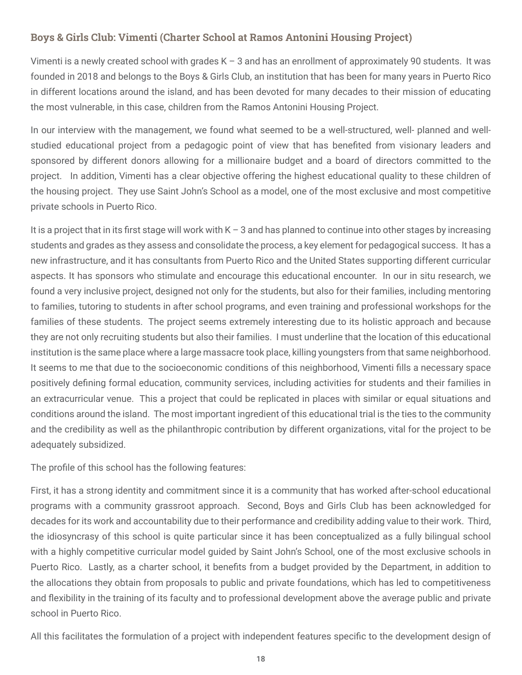# <span id="page-20-0"></span>Boys & Girls Club: Vimenti (Charter School at Ramos Antonini Housing Project)

Vimenti is a newly created school with grades K – 3 and has an enrollment of approximately 90 students. It was founded in 2018 and belongs to the Boys & Girls Club, an institution that has been for many years in Puerto Rico in different locations around the island, and has been devoted for many decades to their mission of educating the most vulnerable, in this case, children from the Ramos Antonini Housing Project.

In our interview with the management, we found what seemed to be a well-structured, well- planned and wellstudied educational project from a pedagogic point of view that has benefited from visionary leaders and sponsored by different donors allowing for a millionaire budget and a board of directors committed to the project. In addition, Vimenti has a clear objective offering the highest educational quality to these children of the housing project. They use Saint John's School as a model, one of the most exclusive and most competitive private schools in Puerto Rico.

It is a project that in its first stage will work with  $K - 3$  and has planned to continue into other stages by increasing students and grades as they assess and consolidate the process, a key element for pedagogical success. It has a new infrastructure, and it has consultants from Puerto Rico and the United States supporting different curricular aspects. It has sponsors who stimulate and encourage this educational encounter. In our in situ research, we found a very inclusive project, designed not only for the students, but also for their families, including mentoring to families, tutoring to students in after school programs, and even training and professional workshops for the families of these students. The project seems extremely interesting due to its holistic approach and because they are not only recruiting students but also their families. I must underline that the location of this educational institution is the same place where a large massacre took place, killing youngsters from that same neighborhood. It seems to me that due to the socioeconomic conditions of this neighborhood, Vimenti fills a necessary space positively defining formal education, community services, including activities for students and their families in an extracurricular venue. This a project that could be replicated in places with similar or equal situations and conditions around the island. The most important ingredient of this educational trial is the ties to the community and the credibility as well as the philanthropic contribution by different organizations, vital for the project to be adequately subsidized.

The profile of this school has the following features:

First, it has a strong identity and commitment since it is a community that has worked after-school educational programs with a community grassroot approach. Second, Boys and Girls Club has been acknowledged for decades for its work and accountability due to their performance and credibility adding value to their work. Third, the idiosyncrasy of this school is quite particular since it has been conceptualized as a fully bilingual school with a highly competitive curricular model guided by Saint John's School, one of the most exclusive schools in Puerto Rico. Lastly, as a charter school, it benefits from a budget provided by the Department, in addition to the allocations they obtain from proposals to public and private foundations, which has led to competitiveness and flexibility in the training of its faculty and to professional development above the average public and private school in Puerto Rico.

All this facilitates the formulation of a project with independent features specific to the development design of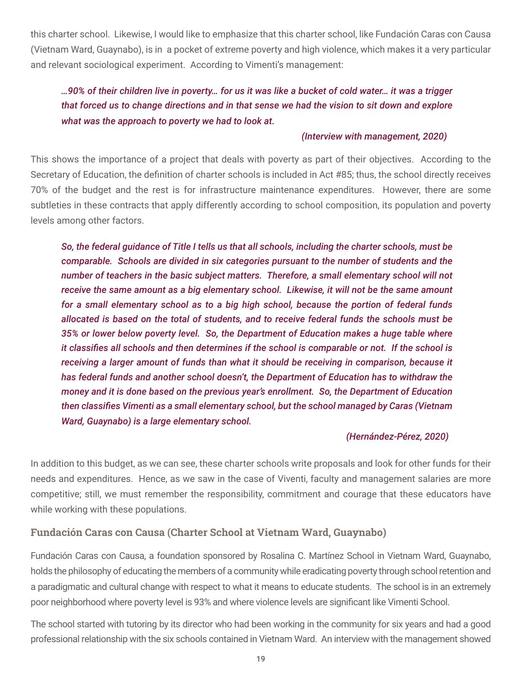<span id="page-21-0"></span>this charter school. Likewise, I would like to emphasize that this charter school, like Fundación Caras con Causa (Vietnam Ward, Guaynabo), is in a pocket of extreme poverty and high violence, which makes it a very particular and relevant sociological experiment. According to Vimenti's management:

# *…90% of their children live in poverty… for us it was like a bucket of cold water… it was a trigger that forced us to change directions and in that sense we had the vision to sit down and explore what was the approach to poverty we had to look at.*

### *(Interview with management, 2020)*

This shows the importance of a project that deals with poverty as part of their objectives. According to the Secretary of Education, the definition of charter schools is included in Act #85; thus, the school directly receives 70% of the budget and the rest is for infrastructure maintenance expenditures. However, there are some subtleties in these contracts that apply differently according to school composition, its population and poverty levels among other factors.

*So, the federal guidance of Title I tells us that all schools, including the charter schools, must be comparable. Schools are divided in six categories pursuant to the number of students and the number of teachers in the basic subject matters. Therefore, a small elementary school will not receive the same amount as a big elementary school. Likewise, it will not be the same amount for a small elementary school as to a big high school, because the portion of federal funds allocated is based on the total of students, and to receive federal funds the schools must be 35% or lower below poverty level. So, the Department of Education makes a huge table where it classifies all schools and then determines if the school is comparable or not. If the school is receiving a larger amount of funds than what it should be receiving in comparison, because it has federal funds and another school doesn't, the Department of Education has to withdraw the money and it is done based on the previous year's enrollment. So, the Department of Education then classifies Vimenti as a small elementary school, but the school managed by Caras (Vietnam Ward, Guaynabo) is a large elementary school.* 

## *(Hernández-Pérez, 2020)*

In addition to this budget, as we can see, these charter schools write proposals and look for other funds for their needs and expenditures. Hence, as we saw in the case of Viventi, faculty and management salaries are more competitive; still, we must remember the responsibility, commitment and courage that these educators have while working with these populations.

# Fundación Caras con Causa (Charter School at Vietnam Ward, Guaynabo)

Fundación Caras con Causa, a foundation sponsored by Rosalina C. Martínez School in Vietnam Ward, Guaynabo, holds the philosophy of educating the members of a community while eradicating poverty through school retention and a paradigmatic and cultural change with respect to what it means to educate students. The school is in an extremely poor neighborhood where poverty level is 93% and where violence levels are significant like Vimenti School.

The school started with tutoring by its director who had been working in the community for six years and had a good professional relationship with the six schools contained in Vietnam Ward. An interview with the management showed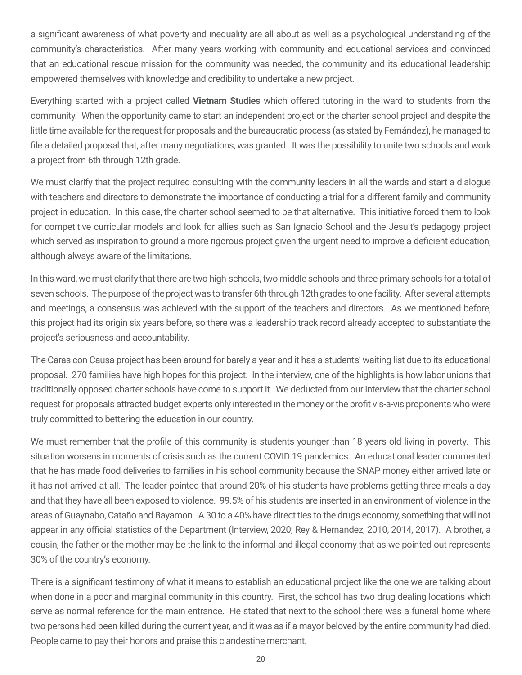a significant awareness of what poverty and inequality are all about as well as a psychological understanding of the community's characteristics. After many years working with community and educational services and convinced that an educational rescue mission for the community was needed, the community and its educational leadership empowered themselves with knowledge and credibility to undertake a new project.

Everything started with a project called **Vietnam Studies** which offered tutoring in the ward to students from the community. When the opportunity came to start an independent project or the charter school project and despite the little time available for the request for proposals and the bureaucratic process (as stated by Fernández), he managed to file a detailed proposal that, after many negotiations, was granted. It was the possibility to unite two schools and work a project from 6th through 12th grade.

We must clarify that the project required consulting with the community leaders in all the wards and start a dialogue with teachers and directors to demonstrate the importance of conducting a trial for a different family and community project in education. In this case, the charter school seemed to be that alternative. This initiative forced them to look for competitive curricular models and look for allies such as San Ignacio School and the Jesuit's pedagogy project which served as inspiration to ground a more rigorous project given the urgent need to improve a deficient education, although always aware of the limitations.

In this ward, we must clarify that there are two high-schools, two middle schools and three primary schools for a total of seven schools. The purpose of the project was to transfer 6th through 12th grades to one facility. After several attempts and meetings, a consensus was achieved with the support of the teachers and directors. As we mentioned before, this project had its origin six years before, so there was a leadership track record already accepted to substantiate the project's seriousness and accountability.

The Caras con Causa project has been around for barely a year and it has a students' waiting list due to its educational proposal. 270 families have high hopes for this project. In the interview, one of the highlights is how labor unions that traditionally opposed charter schools have come to support it. We deducted from our interview that the charter school request for proposals attracted budget experts only interested in the money or the profit vis-a-vis proponents who were truly committed to bettering the education in our country.

We must remember that the profile of this community is students younger than 18 years old living in poverty. This situation worsens in moments of crisis such as the current COVID 19 pandemics. An educational leader commented that he has made food deliveries to families in his school community because the SNAP money either arrived late or it has not arrived at all. The leader pointed that around 20% of his students have problems getting three meals a day and that they have all been exposed to violence. 99.5% of his students are inserted in an environment of violence in the areas of Guaynabo, Cataño and Bayamon. A 30 to a 40% have direct ties to the drugs economy, something that will not appear in any official statistics of the Department (Interview, 2020; Rey & Hernandez, 2010, 2014, 2017). A brother, a cousin, the father or the mother may be the link to the informal and illegal economy that as we pointed out represents 30% of the country's economy.

There is a significant testimony of what it means to establish an educational project like the one we are talking about when done in a poor and marginal community in this country. First, the school has two drug dealing locations which serve as normal reference for the main entrance. He stated that next to the school there was a funeral home where two persons had been killed during the current year, and it was as if a mayor beloved by the entire community had died. People came to pay their honors and praise this clandestine merchant.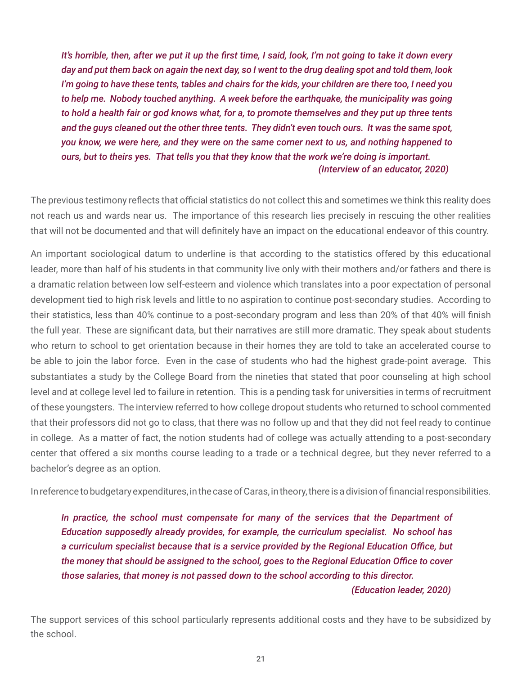*It's horrible, then, after we put it up the first time, I said, look, I'm not going to take it down every day and put them back on again the next day, so I went to the drug dealing spot and told them, look I'm going to have these tents, tables and chairs for the kids, your children are there too, I need you to help me. Nobody touched anything. A week before the earthquake, the municipality was going to hold a health fair or god knows what, for a, to promote themselves and they put up three tents and the guys cleaned out the other three tents. They didn't even touch ours. It was the same spot, you know, we were here, and they were on the same corner next to us, and nothing happened to ours, but to theirs yes. That tells you that they know that the work we're doing is important. (Interview of an educator, 2020)*

The previous testimony reflects that official statistics do not collect this and sometimes we think this reality does not reach us and wards near us. The importance of this research lies precisely in rescuing the other realities that will not be documented and that will definitely have an impact on the educational endeavor of this country.

An important sociological datum to underline is that according to the statistics offered by this educational leader, more than half of his students in that community live only with their mothers and/or fathers and there is a dramatic relation between low self-esteem and violence which translates into a poor expectation of personal development tied to high risk levels and little to no aspiration to continue post-secondary studies. According to their statistics, less than 40% continue to a post-secondary program and less than 20% of that 40% will finish the full year. These are significant data, but their narratives are still more dramatic. They speak about students who return to school to get orientation because in their homes they are told to take an accelerated course to be able to join the labor force. Even in the case of students who had the highest grade-point average. This substantiates a study by the College Board from the nineties that stated that poor counseling at high school level and at college level led to failure in retention. This is a pending task for universities in terms of recruitment of these youngsters. The interview referred to how college dropout students who returned to school commented that their professors did not go to class, that there was no follow up and that they did not feel ready to continue in college. As a matter of fact, the notion students had of college was actually attending to a post-secondary center that offered a six months course leading to a trade or a technical degree, but they never referred to a bachelor's degree as an option.

In reference to budgetary expenditures, in the case of Caras, in theory, there is a division of financial responsibilities.

*In practice, the school must compensate for many of the services that the Department of Education supposedly already provides, for example, the curriculum specialist. No school has a curriculum specialist because that is a service provided by the Regional Education Office, but the money that should be assigned to the school, goes to the Regional Education Office to cover those salaries, that money is not passed down to the school according to this director. (Education leader, 2020)*

The support services of this school particularly represents additional costs and they have to be subsidized by the school.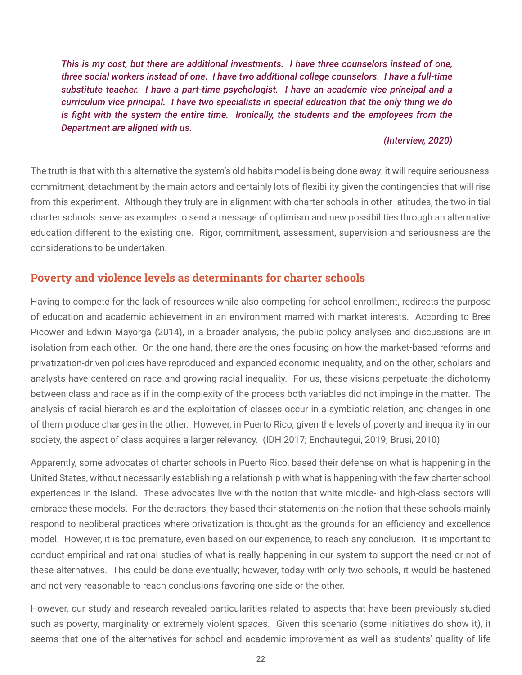<span id="page-24-0"></span>*This is my cost, but there are additional investments. I have three counselors instead of one, three social workers instead of one. I have two additional college counselors. I have a full-time substitute teacher. I have a part-time psychologist. I have an academic vice principal and a curriculum vice principal. I have two specialists in special education that the only thing we do is fight with the system the entire time. Ironically, the students and the employees from the Department are aligned with us.* 

### *(Interview, 2020)*

The truth is that with this alternative the system's old habits model is being done away; it will require seriousness, commitment, detachment by the main actors and certainly lots of flexibility given the contingencies that will rise from this experiment. Although they truly are in alignment with charter schools in other latitudes, the two initial charter schools serve as examples to send a message of optimism and new possibilities through an alternative education different to the existing one. Rigor, commitment, assessment, supervision and seriousness are the considerations to be undertaken.

## Poverty and violence levels as determinants for charter schools

Having to compete for the lack of resources while also competing for school enrollment, redirects the purpose of education and academic achievement in an environment marred with market interests. According to Bree Picower and Edwin Mayorga (2014), in a broader analysis, the public policy analyses and discussions are in isolation from each other. On the one hand, there are the ones focusing on how the market-based reforms and privatization-driven policies have reproduced and expanded economic inequality, and on the other, scholars and analysts have centered on race and growing racial inequality. For us, these visions perpetuate the dichotomy between class and race as if in the complexity of the process both variables did not impinge in the matter. The analysis of racial hierarchies and the exploitation of classes occur in a symbiotic relation, and changes in one of them produce changes in the other. However, in Puerto Rico, given the levels of poverty and inequality in our society, the aspect of class acquires a larger relevancy. (IDH 2017; Enchautegui, 2019; Brusi, 2010)

Apparently, some advocates of charter schools in Puerto Rico, based their defense on what is happening in the United States, without necessarily establishing a relationship with what is happening with the few charter school experiences in the island. These advocates live with the notion that white middle- and high-class sectors will embrace these models. For the detractors, they based their statements on the notion that these schools mainly respond to neoliberal practices where privatization is thought as the grounds for an efficiency and excellence model. However, it is too premature, even based on our experience, to reach any conclusion. It is important to conduct empirical and rational studies of what is really happening in our system to support the need or not of these alternatives. This could be done eventually; however, today with only two schools, it would be hastened and not very reasonable to reach conclusions favoring one side or the other.

However, our study and research revealed particularities related to aspects that have been previously studied such as poverty, marginality or extremely violent spaces. Given this scenario (some initiatives do show it), it seems that one of the alternatives for school and academic improvement as well as students' quality of life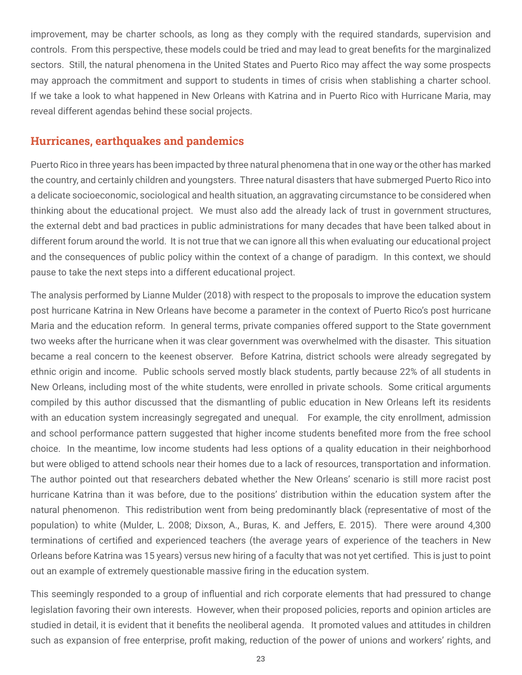<span id="page-25-0"></span>improvement, may be charter schools, as long as they comply with the required standards, supervision and controls. From this perspective, these models could be tried and may lead to great benefits for the marginalized sectors. Still, the natural phenomena in the United States and Puerto Rico may affect the way some prospects may approach the commitment and support to students in times of crisis when stablishing a charter school. If we take a look to what happened in New Orleans with Katrina and in Puerto Rico with Hurricane Maria, may reveal different agendas behind these social projects.

# Hurricanes, earthquakes and pandemics

Puerto Rico in three years has been impacted by three natural phenomena that in one way or the other has marked the country, and certainly children and youngsters. Three natural disasters that have submerged Puerto Rico into a delicate socioeconomic, sociological and health situation, an aggravating circumstance to be considered when thinking about the educational project. We must also add the already lack of trust in government structures, the external debt and bad practices in public administrations for many decades that have been talked about in different forum around the world. It is not true that we can ignore all this when evaluating our educational project and the consequences of public policy within the context of a change of paradigm. In this context, we should pause to take the next steps into a different educational project.

The analysis performed by Lianne Mulder (2018) with respect to the proposals to improve the education system post hurricane Katrina in New Orleans have become a parameter in the context of Puerto Rico's post hurricane Maria and the education reform. In general terms, private companies offered support to the State government two weeks after the hurricane when it was clear government was overwhelmed with the disaster. This situation became a real concern to the keenest observer. Before Katrina, district schools were already segregated by ethnic origin and income. Public schools served mostly black students, partly because 22% of all students in New Orleans, including most of the white students, were enrolled in private schools. Some critical arguments compiled by this author discussed that the dismantling of public education in New Orleans left its residents with an education system increasingly segregated and unequal. For example, the city enrollment, admission and school performance pattern suggested that higher income students benefited more from the free school choice. In the meantime, low income students had less options of a quality education in their neighborhood but were obliged to attend schools near their homes due to a lack of resources, transportation and information. The author pointed out that researchers debated whether the New Orleans' scenario is still more racist post hurricane Katrina than it was before, due to the positions' distribution within the education system after the natural phenomenon. This redistribution went from being predominantly black (representative of most of the population) to white (Mulder, L. 2008; Dixson, A., Buras, K. and Jeffers, E. 2015). There were around 4,300 terminations of certified and experienced teachers (the average years of experience of the teachers in New Orleans before Katrina was 15 years) versus new hiring of a faculty that was not yet certified. This is just to point out an example of extremely questionable massive firing in the education system.

This seemingly responded to a group of influential and rich corporate elements that had pressured to change legislation favoring their own interests. However, when their proposed policies, reports and opinion articles are studied in detail, it is evident that it benefits the neoliberal agenda. It promoted values and attitudes in children such as expansion of free enterprise, profit making, reduction of the power of unions and workers' rights, and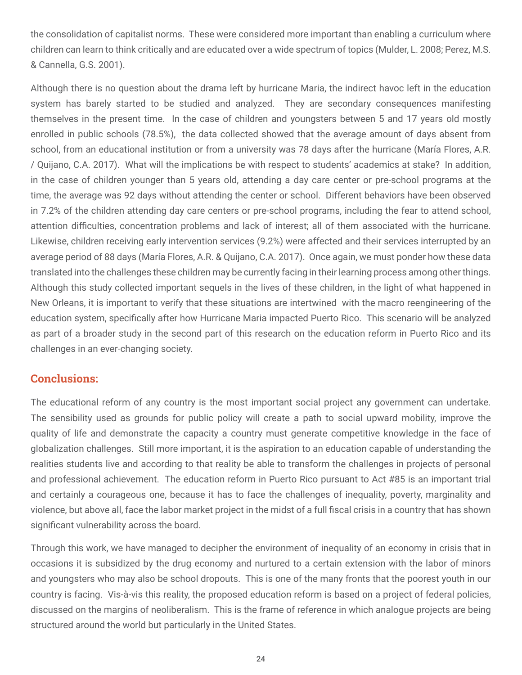<span id="page-26-0"></span>the consolidation of capitalist norms. These were considered more important than enabling a curriculum where children can learn to think critically and are educated over a wide spectrum of topics (Mulder, L. 2008; Perez, M.S. & Cannella, G.S. 2001).

Although there is no question about the drama left by hurricane Maria, the indirect havoc left in the education system has barely started to be studied and analyzed. They are secondary consequences manifesting themselves in the present time. In the case of children and youngsters between 5 and 17 years old mostly enrolled in public schools (78.5%), the data collected showed that the average amount of days absent from school, from an educational institution or from a university was 78 days after the hurricane (María Flores, A.R. / Quijano, C.A. 2017). What will the implications be with respect to students' academics at stake? In addition, in the case of children younger than 5 years old, attending a day care center or pre-school programs at the time, the average was 92 days without attending the center or school. Different behaviors have been observed in 7.2% of the children attending day care centers or pre-school programs, including the fear to attend school, attention difficulties, concentration problems and lack of interest; all of them associated with the hurricane. Likewise, children receiving early intervention services (9.2%) were affected and their services interrupted by an average period of 88 days (María Flores, A.R. & Quijano, C.A. 2017). Once again, we must ponder how these data translated into the challenges these children may be currently facing in their learning process among other things. Although this study collected important sequels in the lives of these children, in the light of what happened in New Orleans, it is important to verify that these situations are intertwined with the macro reengineering of the education system, specifically after how Hurricane Maria impacted Puerto Rico. This scenario will be analyzed as part of a broader study in the second part of this research on the education reform in Puerto Rico and its challenges in an ever-changing society.

# Conclusions:

The educational reform of any country is the most important social project any government can undertake. The sensibility used as grounds for public policy will create a path to social upward mobility, improve the quality of life and demonstrate the capacity a country must generate competitive knowledge in the face of globalization challenges. Still more important, it is the aspiration to an education capable of understanding the realities students live and according to that reality be able to transform the challenges in projects of personal and professional achievement. The education reform in Puerto Rico pursuant to Act #85 is an important trial and certainly a courageous one, because it has to face the challenges of inequality, poverty, marginality and violence, but above all, face the labor market project in the midst of a full fiscal crisis in a country that has shown significant vulnerability across the board.

Through this work, we have managed to decipher the environment of inequality of an economy in crisis that in occasions it is subsidized by the drug economy and nurtured to a certain extension with the labor of minors and youngsters who may also be school dropouts. This is one of the many fronts that the poorest youth in our country is facing. Vis-à-vis this reality, the proposed education reform is based on a project of federal policies, discussed on the margins of neoliberalism. This is the frame of reference in which analogue projects are being structured around the world but particularly in the United States.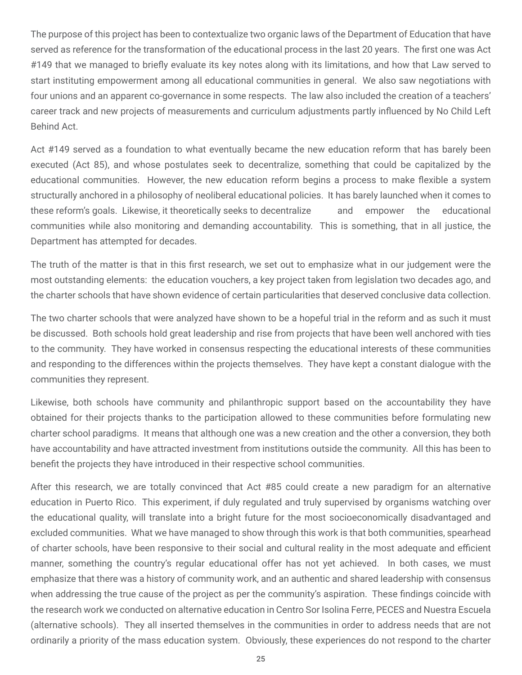The purpose of this project has been to contextualize two organic laws of the Department of Education that have served as reference for the transformation of the educational process in the last 20 years. The first one was Act #149 that we managed to briefly evaluate its key notes along with its limitations, and how that Law served to start instituting empowerment among all educational communities in general. We also saw negotiations with four unions and an apparent co-governance in some respects. The law also included the creation of a teachers' career track and new projects of measurements and curriculum adjustments partly influenced by No Child Left Behind Act.

Act #149 served as a foundation to what eventually became the new education reform that has barely been executed (Act 85), and whose postulates seek to decentralize, something that could be capitalized by the educational communities. However, the new education reform begins a process to make flexible a system structurally anchored in a philosophy of neoliberal educational policies. It has barely launched when it comes to these reform's goals. Likewise, it theoretically seeks to decentralize and empower the educational communities while also monitoring and demanding accountability. This is something, that in all justice, the Department has attempted for decades.

The truth of the matter is that in this first research, we set out to emphasize what in our judgement were the most outstanding elements: the education vouchers, a key project taken from legislation two decades ago, and the charter schools that have shown evidence of certain particularities that deserved conclusive data collection.

The two charter schools that were analyzed have shown to be a hopeful trial in the reform and as such it must be discussed. Both schools hold great leadership and rise from projects that have been well anchored with ties to the community. They have worked in consensus respecting the educational interests of these communities and responding to the differences within the projects themselves. They have kept a constant dialogue with the communities they represent.

Likewise, both schools have community and philanthropic support based on the accountability they have obtained for their projects thanks to the participation allowed to these communities before formulating new charter school paradigms. It means that although one was a new creation and the other a conversion, they both have accountability and have attracted investment from institutions outside the community. All this has been to benefit the projects they have introduced in their respective school communities.

After this research, we are totally convinced that Act #85 could create a new paradigm for an alternative education in Puerto Rico. This experiment, if duly regulated and truly supervised by organisms watching over the educational quality, will translate into a bright future for the most socioeconomically disadvantaged and excluded communities. What we have managed to show through this work is that both communities, spearhead of charter schools, have been responsive to their social and cultural reality in the most adequate and efficient manner, something the country's regular educational offer has not yet achieved. In both cases, we must emphasize that there was a history of community work, and an authentic and shared leadership with consensus when addressing the true cause of the project as per the community's aspiration. These findings coincide with the research work we conducted on alternative education in Centro Sor Isolina Ferre, PECES and Nuestra Escuela (alternative schools). They all inserted themselves in the communities in order to address needs that are not ordinarily a priority of the mass education system. Obviously, these experiences do not respond to the charter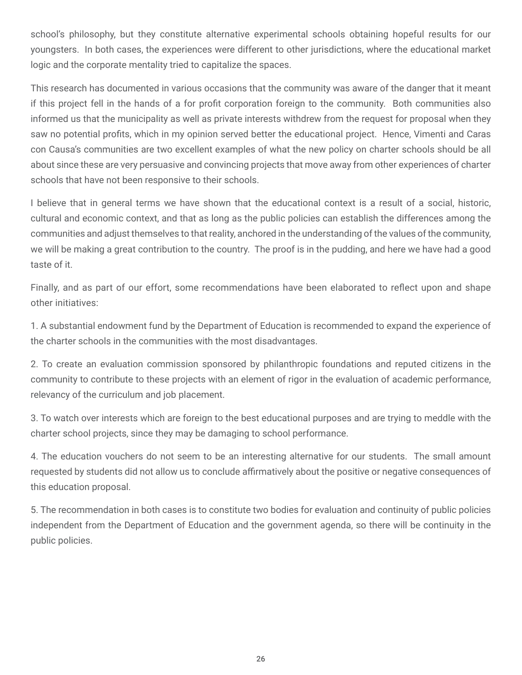school's philosophy, but they constitute alternative experimental schools obtaining hopeful results for our youngsters. In both cases, the experiences were different to other jurisdictions, where the educational market logic and the corporate mentality tried to capitalize the spaces.

This research has documented in various occasions that the community was aware of the danger that it meant if this project fell in the hands of a for profit corporation foreign to the community. Both communities also informed us that the municipality as well as private interests withdrew from the request for proposal when they saw no potential profits, which in my opinion served better the educational project. Hence, Vimenti and Caras con Causa's communities are two excellent examples of what the new policy on charter schools should be all about since these are very persuasive and convincing projects that move away from other experiences of charter schools that have not been responsive to their schools.

I believe that in general terms we have shown that the educational context is a result of a social, historic, cultural and economic context, and that as long as the public policies can establish the differences among the communities and adjust themselves to that reality, anchored in the understanding of the values of the community, we will be making a great contribution to the country. The proof is in the pudding, and here we have had a good taste of it.

Finally, and as part of our effort, some recommendations have been elaborated to reflect upon and shape other initiatives:

1. A substantial endowment fund by the Department of Education is recommended to expand the experience of the charter schools in the communities with the most disadvantages.

2. To create an evaluation commission sponsored by philanthropic foundations and reputed citizens in the community to contribute to these projects with an element of rigor in the evaluation of academic performance, relevancy of the curriculum and job placement.

3. To watch over interests which are foreign to the best educational purposes and are trying to meddle with the charter school projects, since they may be damaging to school performance.

4. The education vouchers do not seem to be an interesting alternative for our students. The small amount requested by students did not allow us to conclude affirmatively about the positive or negative consequences of this education proposal.

5. The recommendation in both cases is to constitute two bodies for evaluation and continuity of public policies independent from the Department of Education and the government agenda, so there will be continuity in the public policies.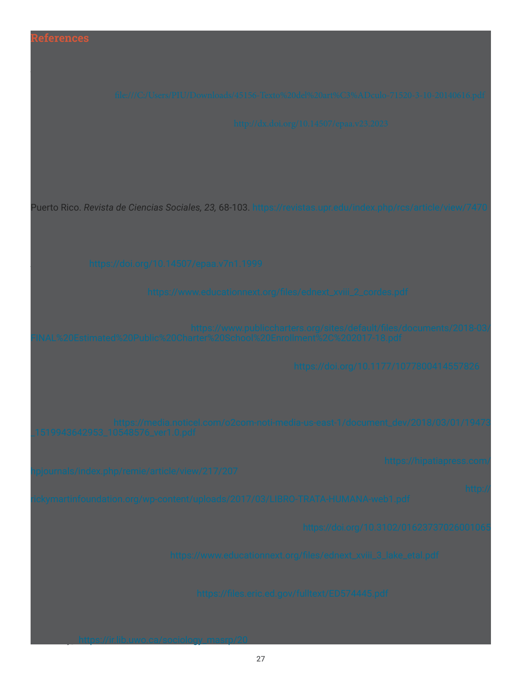# Aguilar Villanueva, L. (2014). Las dimensiones y los niveles de la gobernanza. *Cuadernos de Gobierno y Administración*

Brusi, R., Díaz, W., & González, D. (2010). Tan cerca y tan lejos: "Mérito", pobreza, y la educación superior pública en Puerto Rico. *Revista de Ciencias Sociales, 23,* 68-103. https://revistas.upr.edu/index.php/rcs/article/view/7470

Cobb, C. D., & Glass, G. V. (1999). Ethnic segregation in Arizona charter schools. *Education Policy Analysis* 

Cordes, S. A. (2018). Charters and the common good: The spillover effects of charter schools in New York

<span id="page-29-0"></span>Adamson, F., Astrand, B. & Darling-Hammond, L. (Eds.). (2016). *Global educational reform: How privatization and* 

 $A_{\rm eff}$  and the promise accountability in California through local control funding reforms:

Cordero Guzmán, H. R. (2005). Latinos and education: A statistical portrait. En P. Pedraza & M. Rivera (Eds.),

Almond, M. R. (2012). The black charter school effect: Black students in American charter schools. *The Journal* 

 $D$  dixson,  $B$  a. D.,  $B$  and color of reform: Race, education reform: Race, education reform, and charter schools

Echautégui, Maria et.al., (2019). *A future of child poverty in Puerto Rico: How much it costs and what we can do* 

Flores, A. R., & Quijano, C. A. (2017). *The impact of hurricane Maria on Puerto Rico'schildren: Analysis and initial* 

Freelon, R., Bertrand, M., & Rogers, J. (2012). Overburdened and underfunded: California public schools amidst

University]. https://ir.lib.uwo.ca/sociology\_masrp/20

#### Honig, M. I. (2004). The new middle management: Intermediary organizations in education policy implementation. *Educational Evaluation and Policy Analysis*, *26*(1), 65-87. https://doi.org/10.3102/01623737026001065

Lake, R., Cobb, T., Sharma, R., & Opalka, A. (2018). Why is charter growth slowing? Lessons from the Bay

*Readiness: Bridging California's vision with local implementation needs.* [Policy Brief]. California State University,

Mulder, L. (2018). *Neoliberalism and the School Choice Movement in the United States*. [Master' thesis, Western

Lewis, J., Nodine, T., & Venezia, A. (2017). *Roles for county Offices of Education to Support College and Career*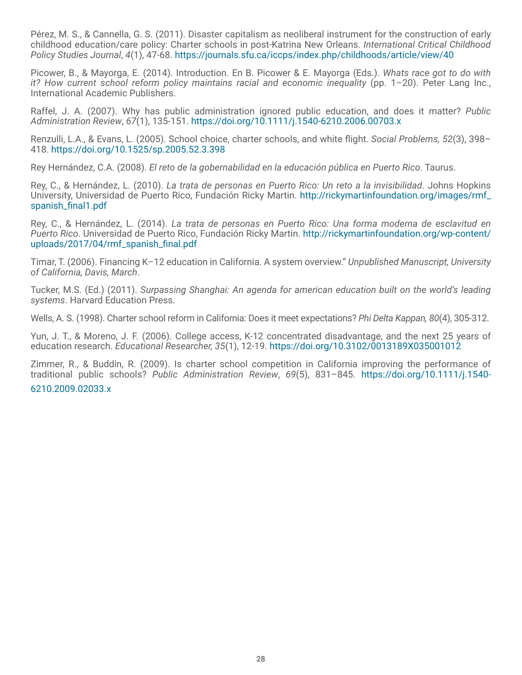Pérez, M. S., & Cannella, G. S. (2011). Disaster capitalism as neoliberal instrument for the construction of early childhood education/care policy: Charter schools in post-Katrina New Orleans. *International Critical Childhood Policy Studies Journal*, *4*(1), 47-68. https://journals.sfu.ca/iccps/index.php/childhoods/article/view/40

Picower, B., & Mayorga, E. (2014). Introduction. En B. Picower & E. Mayorga (Eds.). *Whats race got to do with it? How current school reform policy maintains racial and economic inequality (pp. 1–20). Peter Lang Inc.,* International Academic Publishers.

Raffel, J. A. (2007). Why has public administration ignored public education, and does it matter? *Public Administration Review*, *67*(1), 135-151. https://doi.org/10.1111/j.1540-6210.2006.00703.x

Renzulli, L.A., & Evans, L. (2005). School choice, charter schools, and white flight. *Social Problems, 52*(3), 398– 418. https://doi.org/10.1525/sp.2005.52.3.398

Rey Hernández, C.A. (2008). *El reto de la gobernabilidad en la educación pública en Puerto Rico*. Taurus.

Rey, C., & Hernández, L. (2010). *La trata de personas en Puerto Rico: Un reto a la invisibilidad*. Johns Hopkins University, Universidad de Puerto Rico, Fundación Ricky Martin. http://rickymartinfoundation.org/images/rmf\_ spanish\_final1.pdf

Rey, C., & Hernández, L. (2014). *La trata de personas en Puerto Rico: Una forma moderna de esclavitud en Puerto Rico*. Universidad de Puerto Rico, Fundación Ricky Martin. http://rickymartinfoundation.org/wp-content/ uploads/2017/04/rmf\_spanish\_final.pdf

Timar, T. (2006). Financing K–12 education in California. A system overview." *Unpublished Manuscript, University of California, Davis, March*.

Tucker, M.S. (Ed.) (2011). *Surpassing Shanghai: An agenda for american education built on the world's leading systems*. Harvard Education Press.

Wells, A. S. (1998). Charter school reform in California: Does it meet expectations? *Phi Delta Kappan, 80*(4), 305-312.

Yun, J. T., & Moreno, J. F. (2006). College access, K-12 concentrated disadvantage, and the next 25 years of education research. *Educational Researcher, 35*(1), 12-19. https://doi.org/10.3102/0013189X035001012

Zimmer, R., & Buddin, R. (2009). Is charter school competition in California improving the performance of traditional public schools? *Public Administration Review*, *69*(5), 831–845. https://doi.org/10.1111/j.1540-

#### 6210.2009.02033.x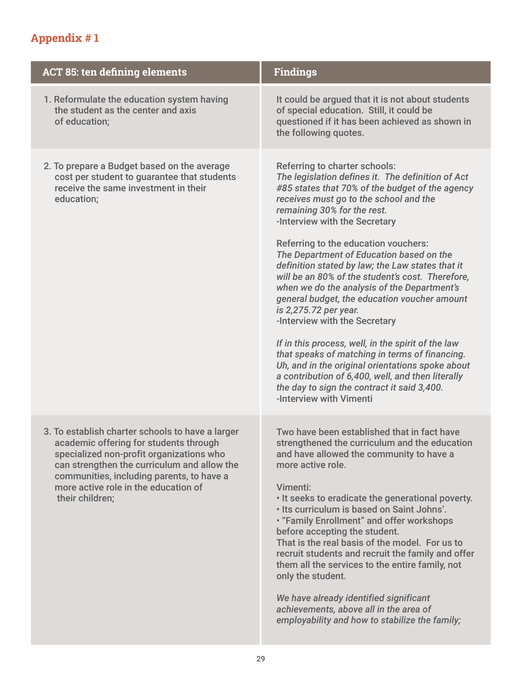# <span id="page-31-0"></span>Appendix # 1

| <b>ACT 85: ten defining elements</b>                                                                                                                                                                                                                                                          | <b>Findings</b>                                                                                                                                                                                                                                                                                                                                                                                                                                                                                                                                                                                                                                                                                                                                                                                                                                                                                        |
|-----------------------------------------------------------------------------------------------------------------------------------------------------------------------------------------------------------------------------------------------------------------------------------------------|--------------------------------------------------------------------------------------------------------------------------------------------------------------------------------------------------------------------------------------------------------------------------------------------------------------------------------------------------------------------------------------------------------------------------------------------------------------------------------------------------------------------------------------------------------------------------------------------------------------------------------------------------------------------------------------------------------------------------------------------------------------------------------------------------------------------------------------------------------------------------------------------------------|
| 1. Reformulate the education system having<br>the student as the center and axis<br>of education;                                                                                                                                                                                             | It could be argued that it is not about students<br>of special education. Still, it could be<br>questioned if it has been achieved as shown in<br>the following quotes.                                                                                                                                                                                                                                                                                                                                                                                                                                                                                                                                                                                                                                                                                                                                |
| 2. To prepare a Budget based on the average<br>cost per student to guarantee that students<br>receive the same investment in their<br>education;                                                                                                                                              | <b>Referring to charter schools:</b><br>The legislation defines it. The definition of Act<br>#85 states that 70% of the budget of the agency<br>receives must go to the school and the<br>remaining 30% for the rest.<br>-Interview with the Secretary<br>Referring to the education vouchers:<br>The Department of Education based on the<br>definition stated by law; the Law states that it<br>will be an 80% of the student's cost. Therefore,<br>when we do the analysis of the Department's<br>general budget, the education voucher amount<br>is 2,275.72 per year.<br>-Interview with the Secretary<br>If in this process, well, in the spirit of the law<br>that speaks of matching in terms of financing.<br>Uh, and in the original orientations spoke about<br>a contribution of 6,400, well, and then literally<br>the day to sign the contract it said 3,400.<br>-Interview with Vimenti |
| 3. To establish charter schools to have a larger<br>academic offering for students through<br>specialized non-profit organizations who<br>can strengthen the curriculum and allow the<br>communities, including parents, to have a<br>more active role in the education of<br>their children; | Two have been established that in fact have<br>strengthened the curriculum and the education<br>and have allowed the community to have a<br>more active role.<br>Vimenti:<br>. It seeks to eradicate the generational poverty.<br>. Its curriculum is based on Saint Johns'.<br>. "Family Enrollment" and offer workshops<br>before accepting the student.<br>That is the real basis of the model. For us to<br>recruit students and recruit the family and offer<br>them all the services to the entire family, not<br>only the student.<br>We have already identified significant<br>achievements, above all in the area of<br>employability and how to stabilize the family;                                                                                                                                                                                                                        |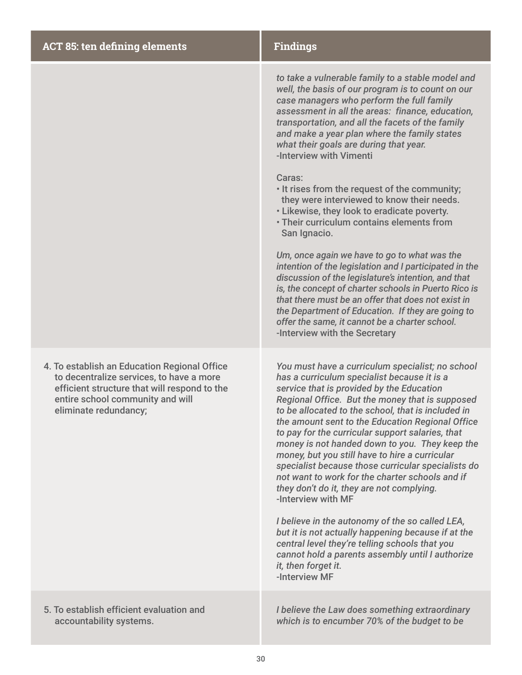| <b>ACT 85: ten defining elements</b>                                                                                                                                                                  | <b>Findings</b>                                                                                                                                                                                                                                                                                                                                                                                                                                                                                                                                                                                                                                                                                                                                                                                                                                                                                      |
|-------------------------------------------------------------------------------------------------------------------------------------------------------------------------------------------------------|------------------------------------------------------------------------------------------------------------------------------------------------------------------------------------------------------------------------------------------------------------------------------------------------------------------------------------------------------------------------------------------------------------------------------------------------------------------------------------------------------------------------------------------------------------------------------------------------------------------------------------------------------------------------------------------------------------------------------------------------------------------------------------------------------------------------------------------------------------------------------------------------------|
|                                                                                                                                                                                                       | to take a vulnerable family to a stable model and<br>well, the basis of our program is to count on our<br>case managers who perform the full family<br>assessment in all the areas: finance, education,<br>transportation, and all the facets of the family<br>and make a year plan where the family states<br>what their goals are during that year.<br>-Interview with Vimenti<br>Caras:<br>. It rises from the request of the community;<br>they were interviewed to know their needs.<br>. Likewise, they look to eradicate poverty.<br>. Their curriculum contains elements from<br>San Ignacio.<br>Um, once again we have to go to what was the<br>intention of the legislation and I participated in the<br>discussion of the legislature's intention, and that<br>is, the concept of charter schools in Puerto Rico is<br>that there must be an offer that does not exist in                 |
|                                                                                                                                                                                                       | the Department of Education. If they are going to<br>offer the same, it cannot be a charter school.<br>-Interview with the Secretary                                                                                                                                                                                                                                                                                                                                                                                                                                                                                                                                                                                                                                                                                                                                                                 |
| 4. To establish an Education Regional Office<br>to decentralize services, to have a more<br>efficient structure that will respond to the<br>entire school community and will<br>eliminate redundancy: | You must have a curriculum specialist; no school<br>has a curriculum specialist because it is a<br>service that is provided by the Education<br>Regional Office. But the money that is supposed<br>to be allocated to the school, that is included in<br>the amount sent to the Education Regional Office<br>to pay for the curricular support salaries, that<br>money is not handed down to you. They keep the<br>money, but you still have to hire a curricular<br>specialist because those curricular specialists do<br>not want to work for the charter schools and if<br>they don't do it, they are not complying.<br>-Interview with MF<br>I believe in the autonomy of the so called LEA,<br>but it is not actually happening because if at the<br>central level they're telling schools that you<br>cannot hold a parents assembly until I authorize<br>it, then forget it.<br>-Interview MF |
| 5. To establish efficient evaluation and<br>accountability systems.                                                                                                                                   | I believe the Law does something extraordinary<br>which is to encumber 70% of the budget to be                                                                                                                                                                                                                                                                                                                                                                                                                                                                                                                                                                                                                                                                                                                                                                                                       |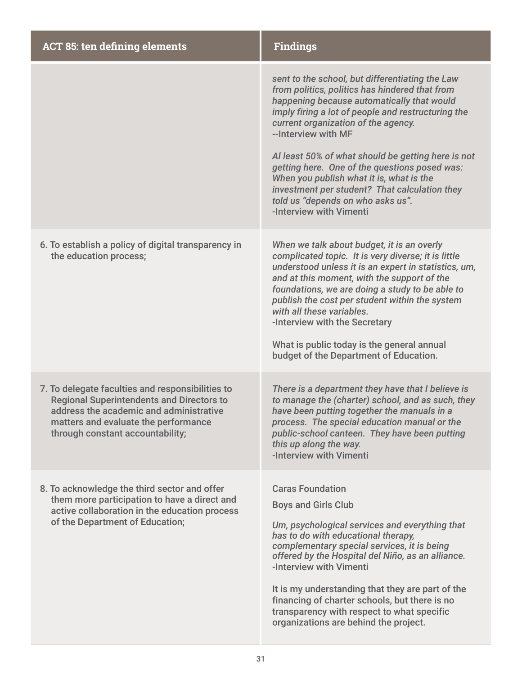| <b>ACT 85: ten defining elements</b>                                                                                                                                                                                        | <b>Findings</b>                                                                                                                                                                                                                                                                                                                                                                                                                                                                                                                         |
|-----------------------------------------------------------------------------------------------------------------------------------------------------------------------------------------------------------------------------|-----------------------------------------------------------------------------------------------------------------------------------------------------------------------------------------------------------------------------------------------------------------------------------------------------------------------------------------------------------------------------------------------------------------------------------------------------------------------------------------------------------------------------------------|
|                                                                                                                                                                                                                             | sent to the school, but differentiating the Law<br>from politics, politics has hindered that from<br>happening because automatically that would<br>imply firing a lot of people and restructuring the<br>current organization of the agency.<br>--Interview with MF<br>Al least 50% of what should be getting here is not<br>getting here. One of the questions posed was:<br>When you publish what it is, what is the<br>investment per student? That calculation they<br>told us "depends on who asks us".<br>-Interview with Vimenti |
| 6. To establish a policy of digital transparency in<br>the education process;                                                                                                                                               | When we talk about budget, it is an overly<br>complicated topic. It is very diverse; it is little<br>understood unless it is an expert in statistics, um,<br>and at this moment, with the support of the<br>foundations, we are doing a study to be able to<br>publish the cost per student within the system<br>with all these variables.<br>-Interview with the Secretary<br>What is public today is the general annual<br>budget of the Department of Education.                                                                     |
| 7. To delegate faculties and responsibilities to<br><b>Regional Superintendents and Directors to</b><br>address the academic and administrative<br>matters and evaluate the performance<br>through constant accountability; | There is a department they have that I believe is<br>to manage the (charter) school, and as such, they<br>have been putting together the manuals in a<br>process. The special education manual or the<br>public-school canteen. They have been putting<br>this up along the way.<br>-Interview with Vimenti                                                                                                                                                                                                                             |
| 8. To acknowledge the third sector and offer<br>them more participation to have a direct and<br>active collaboration in the education process<br>of the Department of Education;                                            | <b>Caras Foundation</b><br><b>Boys and Girls Club</b><br>Um, psychological services and everything that<br>has to do with educational therapy,<br>complementary special services, it is being<br>offered by the Hospital del Niño, as an alliance.<br>-Interview with Vimenti<br>It is my understanding that they are part of the<br>financing of charter schools, but there is no<br>transparency with respect to what specific<br>organizations are behind the project.                                                               |